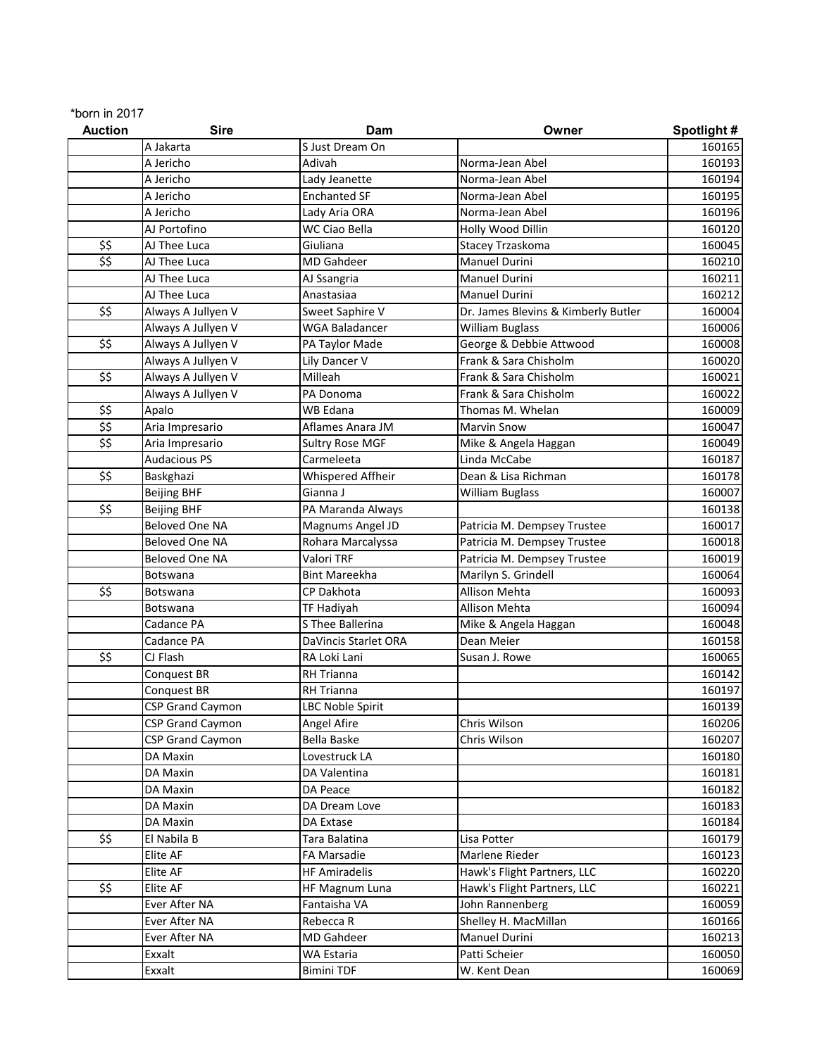| *born in $2017$ |  |  |
|-----------------|--|--|
|-----------------|--|--|

| <b>Auction</b>            | <b>Sire</b>             | Dam                    | Owner                               | Spotlight# |
|---------------------------|-------------------------|------------------------|-------------------------------------|------------|
|                           | A Jakarta               | S Just Dream On        |                                     | 160165     |
|                           | A Jericho               | Adivah                 | Norma-Jean Abel                     | 160193     |
|                           | A Jericho               | Lady Jeanette          | Norma-Jean Abel                     | 160194     |
|                           | A Jericho               | <b>Enchanted SF</b>    | Norma-Jean Abel                     | 160195     |
|                           | A Jericho               | Lady Aria ORA          | Norma-Jean Abel                     | 160196     |
|                           | AJ Portofino            | <b>WC Ciao Bella</b>   | Holly Wood Dillin                   | 160120     |
| \$\$                      | AJ Thee Luca            | Giuliana               | Stacey Trzaskoma                    | 160045     |
| \$\$                      | AJ Thee Luca            | <b>MD Gahdeer</b>      | <b>Manuel Durini</b>                | 160210     |
|                           | AJ Thee Luca            | AJ Ssangria            | <b>Manuel Durini</b>                | 160211     |
|                           | AJ Thee Luca            | Anastasiaa             | Manuel Durini                       | 160212     |
| \$\$                      | Always A Jullyen V      | Sweet Saphire V        | Dr. James Blevins & Kimberly Butler | 160004     |
|                           | Always A Jullyen V      | <b>WGA Baladancer</b>  | <b>William Buglass</b>              | 160006     |
| \$\$                      | Always A Jullyen V      | PA Taylor Made         | George & Debbie Attwood             | 160008     |
|                           | Always A Jullyen V      | Lily Dancer V          | Frank & Sara Chisholm               | 160020     |
| $\overline{\mathfrak{s}}$ | Always A Jullyen V      | Milleah                | Frank & Sara Chisholm               | 160021     |
|                           | Always A Jullyen V      | PA Donoma              | Frank & Sara Chisholm               | 160022     |
| \$\$                      | Apalo                   | <b>WB Edana</b>        | Thomas M. Whelan                    | 160009     |
| \$\$                      | Aria Impresario         | Aflames Anara JM       | <b>Marvin Snow</b>                  | 160047     |
| \$\$                      | Aria Impresario         | <b>Sultry Rose MGF</b> | Mike & Angela Haggan                | 160049     |
|                           | <b>Audacious PS</b>     | Carmeleeta             | Linda McCabe                        | 160187     |
| \$\$                      | Baskghazi               | Whispered Affheir      | Dean & Lisa Richman                 | 160178     |
|                           | <b>Beijing BHF</b>      | Gianna J               | <b>William Buglass</b>              | 160007     |
| \$\$                      | <b>Beijing BHF</b>      | PA Maranda Always      |                                     | 160138     |
|                           | <b>Beloved One NA</b>   | Magnums Angel JD       | Patricia M. Dempsey Trustee         | 160017     |
|                           | Beloved One NA          | Rohara Marcalyssa      | Patricia M. Dempsey Trustee         | 160018     |
|                           | Beloved One NA          | Valori TRF             | Patricia M. Dempsey Trustee         | 160019     |
|                           | Botswana                | <b>Bint Mareekha</b>   | Marilyn S. Grindell                 | 160064     |
| \$\$                      | Botswana                | CP Dakhota             | <b>Allison Mehta</b>                | 160093     |
|                           | Botswana                | TF Hadiyah             | <b>Allison Mehta</b>                | 160094     |
|                           | Cadance PA              | S Thee Ballerina       | Mike & Angela Haggan                | 160048     |
|                           | Cadance PA              | DaVincis Starlet ORA   | Dean Meier                          | 160158     |
| \$\$                      | CJ Flash                | RA Loki Lani           | Susan J. Rowe                       | 160065     |
|                           | Conquest BR             | <b>RH Trianna</b>      |                                     | 160142     |
|                           | Conquest BR             | <b>RH Trianna</b>      |                                     | 160197     |
|                           | <b>CSP Grand Caymon</b> | LBC Noble Spirit       |                                     | 160139     |
|                           | CSP Grand Caymon        | Angel Afire            | Chris Wilson                        | 160206     |
|                           | <b>CSP Grand Caymon</b> | Bella Baske            | Chris Wilson                        | 160207     |
|                           | DA Maxin                | Lovestruck LA          |                                     | 160180     |
|                           | DA Maxin                | DA Valentina           |                                     | 160181     |
|                           | DA Maxin                | DA Peace               |                                     | 160182     |
|                           | DA Maxin                | DA Dream Love          |                                     | 160183     |
|                           | DA Maxin                | DA Extase              |                                     | 160184     |
| \$\$                      | El Nabila B             | Tara Balatina          | Lisa Potter                         | 160179     |
|                           | Elite AF                | <b>FA Marsadie</b>     | Marlene Rieder                      | 160123     |
|                           | Elite AF                | <b>HF Amiradelis</b>   | Hawk's Flight Partners, LLC         | 160220     |
| \$\$                      | Elite AF                | <b>HF Magnum Luna</b>  | Hawk's Flight Partners, LLC         | 160221     |
|                           | Ever After NA           | Fantaisha VA           | John Rannenberg                     | 160059     |
|                           | Ever After NA           | Rebecca R              | Shelley H. MacMillan                | 160166     |
|                           | Ever After NA           | MD Gahdeer             | Manuel Durini                       | 160213     |
|                           | Exxalt                  | WA Estaria             | Patti Scheier                       | 160050     |
|                           | Exxalt                  | <b>Bimini TDF</b>      | W. Kent Dean                        | 160069     |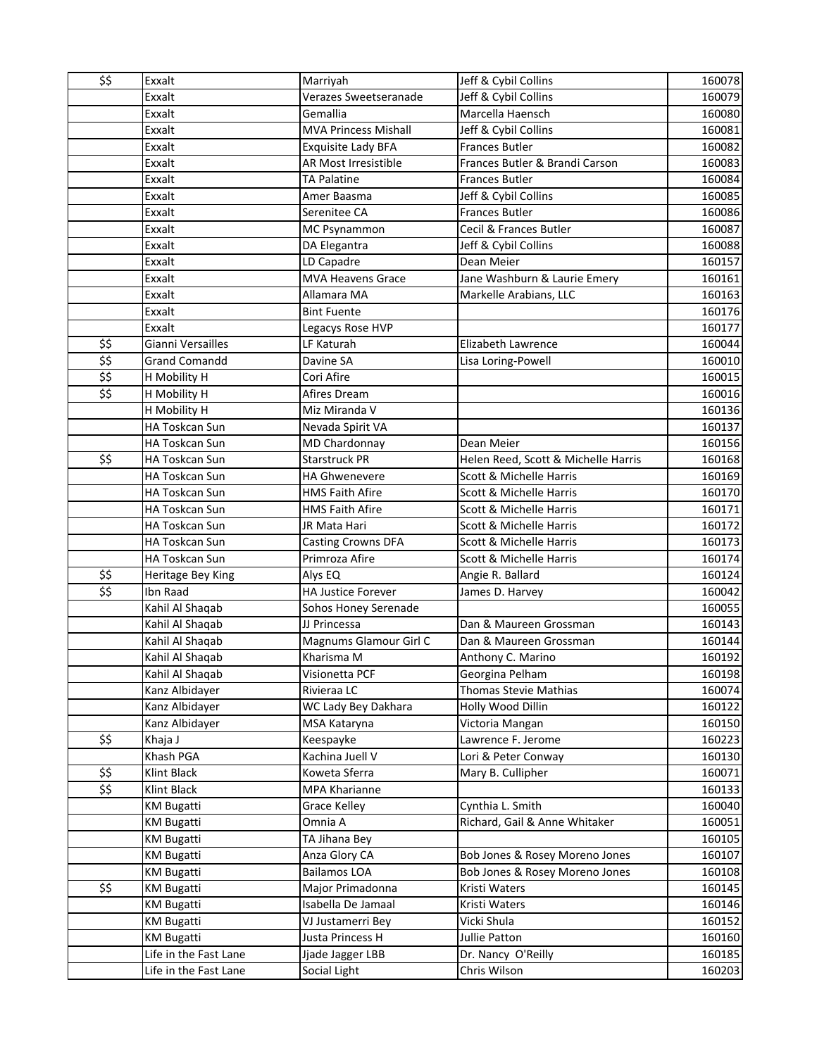| \$\$                                                  | Exxalt                | Marriyah                    | Jeff & Cybil Collins                | 160078 |
|-------------------------------------------------------|-----------------------|-----------------------------|-------------------------------------|--------|
|                                                       | Exxalt                | Verazes Sweetseranade       | Jeff & Cybil Collins                | 160079 |
|                                                       | Exxalt                | Gemallia                    | Marcella Haensch                    | 160080 |
|                                                       | Exxalt                | <b>MVA Princess Mishall</b> | Jeff & Cybil Collins                | 160081 |
|                                                       | Exxalt                | Exquisite Lady BFA          | Frances Butler                      | 160082 |
|                                                       | Exxalt                | <b>AR Most Irresistible</b> | Frances Butler & Brandi Carson      | 160083 |
|                                                       | Exxalt                | <b>TA Palatine</b>          | <b>Frances Butler</b>               | 160084 |
|                                                       | Exxalt                | Amer Baasma                 | Jeff & Cybil Collins                | 160085 |
|                                                       | Exxalt                | Serenitee CA                | <b>Frances Butler</b>               | 160086 |
|                                                       | Exxalt                | <b>MC Psynammon</b>         | Cecil & Frances Butler              | 160087 |
|                                                       | Exxalt                | DA Elegantra                | Jeff & Cybil Collins                | 160088 |
|                                                       | Exxalt                | LD Capadre                  | Dean Meier                          | 160157 |
|                                                       | Exxalt                | <b>MVA Heavens Grace</b>    | Jane Washburn & Laurie Emery        | 160161 |
|                                                       | Exxalt                | Allamara MA                 | Markelle Arabians, LLC              | 160163 |
|                                                       | Exxalt                | <b>Bint Fuente</b>          |                                     | 160176 |
|                                                       | Exxalt                | Legacys Rose HVP            |                                     | 160177 |
| \$\$                                                  | Gianni Versailles     | LF Katurah                  | <b>Elizabeth Lawrence</b>           | 160044 |
| \$5                                                   | <b>Grand Comandd</b>  | Davine SA                   | Lisa Loring-Powell                  | 160010 |
| \$\$                                                  | H Mobility H          | Cori Afire                  |                                     | 160015 |
| \$\$                                                  | H Mobility H          | Afires Dream                |                                     | 160016 |
|                                                       | H Mobility H          | Miz Miranda V               |                                     | 160136 |
|                                                       | HA Toskcan Sun        | Nevada Spirit VA            |                                     | 160137 |
|                                                       | HA Toskcan Sun        | <b>MD Chardonnay</b>        | Dean Meier                          | 160156 |
| \$\$                                                  | HA Toskcan Sun        | <b>Starstruck PR</b>        | Helen Reed, Scott & Michelle Harris | 160168 |
|                                                       | HA Toskcan Sun        | <b>HA Ghwenevere</b>        | Scott & Michelle Harris             | 160169 |
|                                                       | HA Toskcan Sun        | <b>HMS Faith Afire</b>      | Scott & Michelle Harris             | 160170 |
|                                                       | HA Toskcan Sun        | <b>HMS Faith Afire</b>      | Scott & Michelle Harris             | 160171 |
|                                                       | <b>HA Toskcan Sun</b> | JR Mata Hari                | Scott & Michelle Harris             | 160172 |
|                                                       | HA Toskcan Sun        | <b>Casting Crowns DFA</b>   | Scott & Michelle Harris             | 160173 |
|                                                       | HA Toskcan Sun        | Primroza Afire              | Scott & Michelle Harris             | 160174 |
| \$\$                                                  | Heritage Bey King     | Alys EQ                     | Angie R. Ballard                    | 160124 |
| \$5                                                   | Ibn Raad              | <b>HA Justice Forever</b>   | James D. Harvey                     | 160042 |
|                                                       | Kahil Al Shaqab       | Sohos Honey Serenade        |                                     | 160055 |
|                                                       | Kahil Al Shaqab       | JJ Princessa                | Dan & Maureen Grossman              | 160143 |
|                                                       | Kahil Al Shaqab       | Magnums Glamour Girl C      | Dan & Maureen Grossman              | 160144 |
|                                                       | Kahil Al Shaqab       | Kharisma M                  | Anthony C. Marino                   | 160192 |
|                                                       | Kahil Al Shaqab       | Visionetta PCF              | Georgina Pelham                     | 160198 |
|                                                       | Kanz Albidayer        | Rivieraa LC                 | <b>Thomas Stevie Mathias</b>        | 160074 |
|                                                       | Kanz Albidayer        | WC Lady Bey Dakhara         | Holly Wood Dillin                   | 160122 |
|                                                       | Kanz Albidayer        | MSA Kataryna                | Victoria Mangan                     | 160150 |
| \$\$                                                  | Khaja J               | Keespayke                   | Lawrence F. Jerome                  | 160223 |
|                                                       | Khash PGA             | Kachina Juell V             | Lori & Peter Conway                 | 160130 |
| \$\$                                                  | Klint Black           | Koweta Sferra               | Mary B. Cullipher                   | 160071 |
| $\overline{\boldsymbol{\hat{z}}\boldsymbol{\hat{z}}}$ | Klint Black           | <b>MPA Kharianne</b>        |                                     | 160133 |
|                                                       | <b>KM Bugatti</b>     | Grace Kelley                | Cynthia L. Smith                    | 160040 |
|                                                       | <b>KM Bugatti</b>     | Omnia A                     | Richard, Gail & Anne Whitaker       | 160051 |
|                                                       | <b>KM Bugatti</b>     | TA Jihana Bey               |                                     | 160105 |
|                                                       | <b>KM Bugatti</b>     | Anza Glory CA               | Bob Jones & Rosey Moreno Jones      | 160107 |
|                                                       | <b>KM Bugatti</b>     | <b>Bailamos LOA</b>         | Bob Jones & Rosey Moreno Jones      | 160108 |
| \$\$                                                  | KM Bugatti            | Major Primadonna            | Kristi Waters                       | 160145 |
|                                                       | <b>KM Bugatti</b>     | Isabella De Jamaal          | Kristi Waters                       | 160146 |
|                                                       | <b>KM Bugatti</b>     | VJ Justamerri Bey           | Vicki Shula                         | 160152 |
|                                                       | <b>KM Bugatti</b>     | Justa Princess H            | Jullie Patton                       | 160160 |
|                                                       | Life in the Fast Lane | Jjade Jagger LBB            | Dr. Nancy O'Reilly                  | 160185 |
|                                                       | Life in the Fast Lane | Social Light                | Chris Wilson                        | 160203 |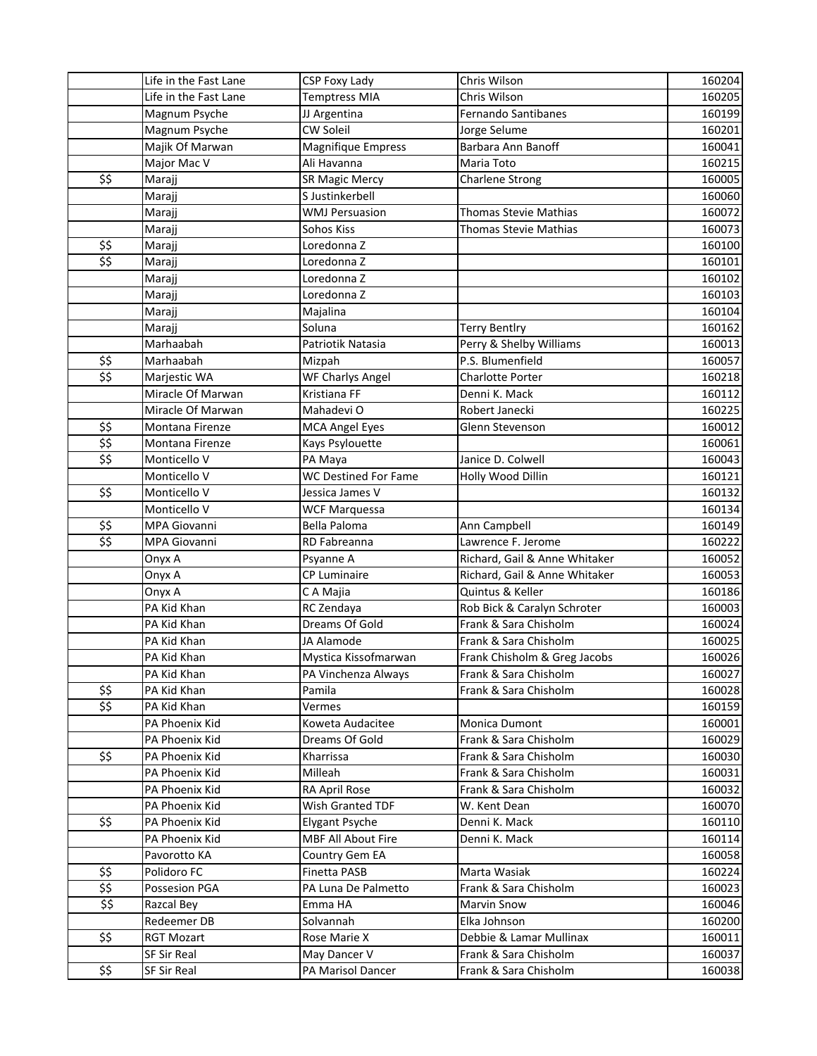|                                                               | Life in the Fast Lane | CSP Foxy Lady               | Chris Wilson                                      | 160204 |
|---------------------------------------------------------------|-----------------------|-----------------------------|---------------------------------------------------|--------|
|                                                               | Life in the Fast Lane | <b>Temptress MIA</b>        | Chris Wilson                                      | 160205 |
|                                                               | Magnum Psyche         | JJ Argentina                | <b>Fernando Santibanes</b>                        | 160199 |
|                                                               | Magnum Psyche         | CW Soleil                   | Jorge Selume                                      | 160201 |
|                                                               | Majik Of Marwan       | <b>Magnifique Empress</b>   | Barbara Ann Banoff                                | 160041 |
|                                                               | Major Mac V           | Ali Havanna                 | Maria Toto                                        | 160215 |
| \$\$                                                          | Marajj                | <b>SR Magic Mercy</b>       | Charlene Strong                                   | 160005 |
|                                                               | Marajj                | S Justinkerbell             |                                                   | 160060 |
|                                                               | Marajj                | <b>WMJ Persuasion</b>       | <b>Thomas Stevie Mathias</b>                      | 160072 |
|                                                               | Marajj                | Sohos Kiss                  | <b>Thomas Stevie Mathias</b>                      | 160073 |
| \$\$                                                          | Marajj                | Loredonna Z                 |                                                   | 160100 |
| \$\$                                                          | Marajj                | Loredonna Z                 |                                                   | 160101 |
|                                                               | Marajj                | Loredonna Z                 |                                                   | 160102 |
|                                                               | Marajj                | Loredonna Z                 |                                                   | 160103 |
|                                                               | Marajj                | Majalina                    |                                                   | 160104 |
|                                                               | Marajj                | Soluna                      | <b>Terry Bentlry</b>                              | 160162 |
|                                                               | Marhaabah             | Patriotik Natasia           | Perry & Shelby Williams                           | 160013 |
| \$\$                                                          | Marhaabah             | Mizpah                      | P.S. Blumenfield                                  | 160057 |
| $\overline{\mathfrak{s}}$                                     | Marjestic WA          | WF Charlys Angel            | <b>Charlotte Porter</b>                           | 160218 |
|                                                               | Miracle Of Marwan     | Kristiana FF                | Denni K. Mack                                     | 160112 |
|                                                               | Miracle Of Marwan     | Mahadevi O                  | Robert Janecki                                    | 160225 |
| \$\$                                                          | Montana Firenze       | <b>MCA Angel Eyes</b>       | Glenn Stevenson                                   | 160012 |
| \$\$                                                          | Montana Firenze       | Kays Psylouette             |                                                   | 160061 |
| \$\$                                                          | Monticello V          | PA Maya                     | Janice D. Colwell                                 | 160043 |
|                                                               | Monticello V          | <b>WC Destined For Fame</b> | Holly Wood Dillin                                 | 160121 |
| \$\$                                                          | Monticello V          | Jessica James V             |                                                   | 160132 |
|                                                               | Monticello V          | <b>WCF Marquessa</b>        |                                                   | 160134 |
|                                                               | MPA Giovanni          | Bella Paloma                | Ann Campbell                                      | 160149 |
| \$\$<br>$\overline{\boldsymbol{\hat{z}}\boldsymbol{\hat{z}}}$ | MPA Giovanni          | RD Fabreanna                | Lawrence F. Jerome                                | 160222 |
|                                                               |                       |                             |                                                   |        |
|                                                               | Onyx A                | Psyanne A<br>CP Luminaire   | Richard, Gail & Anne Whitaker                     | 160052 |
|                                                               | Onyx A                |                             | Richard, Gail & Anne Whitaker<br>Quintus & Keller | 160053 |
|                                                               | Onyx A                | C A Majia                   |                                                   | 160186 |
|                                                               | PA Kid Khan           | RC Zendaya                  | Rob Bick & Caralyn Schroter                       | 160003 |
|                                                               | PA Kid Khan           | Dreams Of Gold              | Frank & Sara Chisholm                             | 160024 |
|                                                               | PA Kid Khan           | JA Alamode                  | Frank & Sara Chisholm                             | 160025 |
|                                                               | PA Kid Khan           | Mystica Kissofmarwan        | Frank Chisholm & Greg Jacobs                      | 160026 |
|                                                               | PA Kid Khan           | PA Vinchenza Always         | Frank & Sara Chisholm                             | 160027 |
| \$\$                                                          | PA Kid Khan           | Pamila                      | Frank & Sara Chisholm                             | 160028 |
| \$\$                                                          | PA Kid Khan           | Vermes                      |                                                   | 160159 |
|                                                               | PA Phoenix Kid        | Koweta Audacitee            | Monica Dumont                                     | 160001 |
|                                                               | PA Phoenix Kid        | Dreams Of Gold              | Frank & Sara Chisholm                             | 160029 |
| \$\$                                                          | PA Phoenix Kid        | Kharrissa                   | Frank & Sara Chisholm                             | 160030 |
|                                                               | PA Phoenix Kid        | Milleah                     | Frank & Sara Chisholm                             | 160031 |
|                                                               | PA Phoenix Kid        | RA April Rose               | Frank & Sara Chisholm                             | 160032 |
|                                                               | PA Phoenix Kid        | Wish Granted TDF            | W. Kent Dean                                      | 160070 |
| \$\$                                                          | PA Phoenix Kid        | Elygant Psyche              | Denni K. Mack                                     | 160110 |
|                                                               | PA Phoenix Kid        | <b>MBF All About Fire</b>   | Denni K. Mack                                     | 160114 |
|                                                               | Pavorotto KA          | Country Gem EA              |                                                   | 160058 |
| \$\$                                                          | Polidoro FC           | Finetta PASB                | Marta Wasiak                                      | 160224 |
| \$5                                                           | Possesion PGA         | PA Luna De Palmetto         | Frank & Sara Chisholm                             | 160023 |
| \$5                                                           | Razcal Bey            | Emma HA                     | Marvin Snow                                       | 160046 |
|                                                               | Redeemer DB           | Solvannah                   | Elka Johnson                                      | 160200 |
| \$\$                                                          | <b>RGT Mozart</b>     | Rose Marie X                | Debbie & Lamar Mullinax                           | 160011 |
|                                                               | SF Sir Real           | May Dancer V                | Frank & Sara Chisholm                             | 160037 |
| \$\$                                                          | SF Sir Real           | PA Marisol Dancer           | Frank & Sara Chisholm                             | 160038 |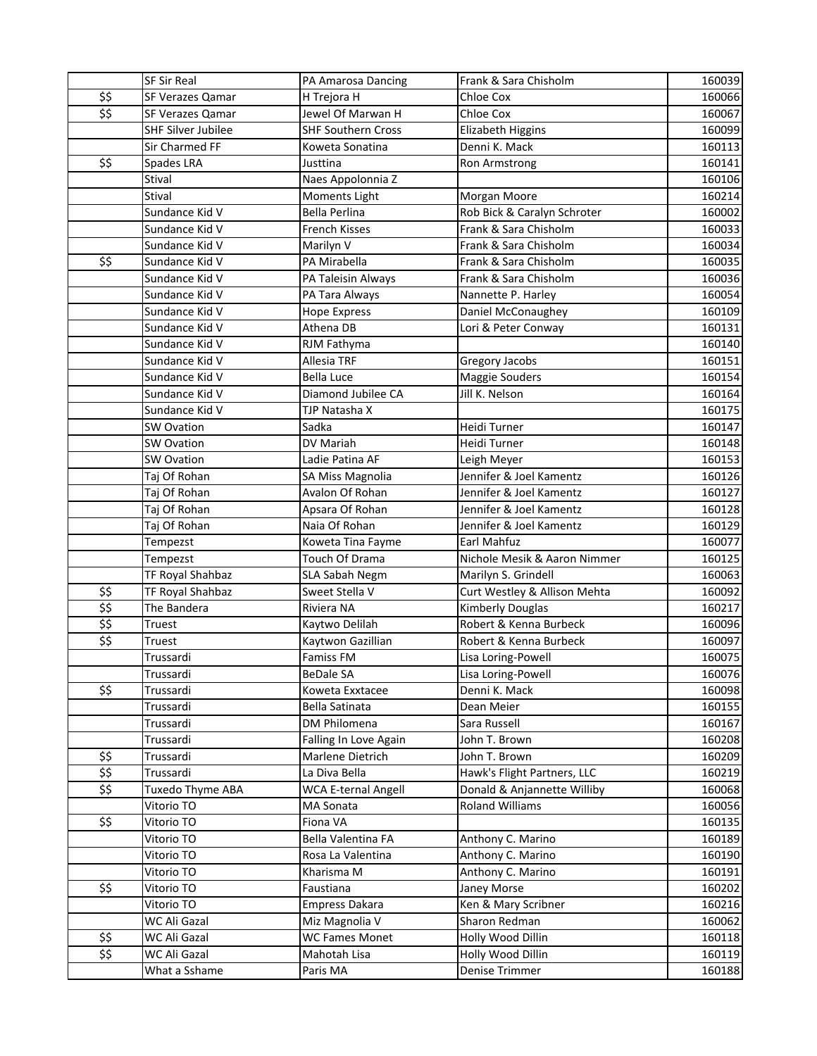|              | SF Sir Real             | PA Amarosa Dancing                        | Frank & Sara Chisholm          | 160039           |
|--------------|-------------------------|-------------------------------------------|--------------------------------|------------------|
| \$\$         | <b>SF Verazes Qamar</b> | H Trejora H                               | Chloe Cox                      | 160066           |
| \$\$         | SF Verazes Qamar        | Jewel Of Marwan H                         | Chloe Cox                      | 160067           |
|              | SHF Silver Jubilee      | <b>SHF Southern Cross</b>                 | Elizabeth Higgins              | 160099           |
|              | Sir Charmed FF          | Koweta Sonatina                           | Denni K. Mack                  | 160113           |
| \$\$         | Spades LRA              | Justtina                                  | Ron Armstrong                  | 160141           |
|              | Stival                  | Naes Appolonnia Z                         |                                | 160106           |
|              | Stival                  | Moments Light                             | Morgan Moore                   | 160214           |
|              | Sundance Kid V          | Bella Perlina                             | Rob Bick & Caralyn Schroter    | 160002           |
|              | Sundance Kid V          | <b>French Kisses</b>                      | Frank & Sara Chisholm          | 160033           |
|              | Sundance Kid V          | Marilyn V                                 | Frank & Sara Chisholm          | 160034           |
| \$\$         | Sundance Kid V          | PA Mirabella                              | Frank & Sara Chisholm          | 160035           |
|              | Sundance Kid V          | PA Taleisin Always                        | Frank & Sara Chisholm          | 160036           |
|              | Sundance Kid V          | PA Tara Always                            | Nannette P. Harley             | 160054           |
|              | Sundance Kid V          | <b>Hope Express</b>                       | Daniel McConaughey             | 160109           |
|              | Sundance Kid V          | Athena DB                                 | Lori & Peter Conway            | 160131           |
|              | Sundance Kid V          | RJM Fathyma                               |                                | 160140           |
|              | Sundance Kid V          | Allesia TRF                               | Gregory Jacobs                 | 160151           |
|              | Sundance Kid V          | <b>Bella Luce</b>                         | Maggie Souders                 | 160154           |
|              | Sundance Kid V          | Diamond Jubilee CA                        | Jill K. Nelson                 | 160164           |
|              | Sundance Kid V          | TJP Natasha X                             |                                | 160175           |
|              | <b>SW Ovation</b>       | Sadka                                     | Heidi Turner                   | 160147           |
|              | <b>SW Ovation</b>       | DV Mariah                                 | Heidi Turner                   | 160148           |
|              | <b>SW Ovation</b>       | Ladie Patina AF                           | Leigh Meyer                    | 160153           |
|              | Taj Of Rohan            | SA Miss Magnolia                          | Jennifer & Joel Kamentz        | 160126           |
|              | Taj Of Rohan            | Avalon Of Rohan                           | Jennifer & Joel Kamentz        | 160127           |
|              | Taj Of Rohan            | Apsara Of Rohan                           | Jennifer & Joel Kamentz        | 160128           |
|              | Taj Of Rohan            | Naia Of Rohan                             | Jennifer & Joel Kamentz        | 160129           |
|              | Tempezst                | Koweta Tina Fayme                         | Earl Mahfuz                    | 160077           |
|              | Tempezst                | Touch Of Drama                            | Nichole Mesik & Aaron Nimmer   | 160125           |
|              | TF Royal Shahbaz        | SLA Sabah Negm                            | Marilyn S. Grindell            | 160063           |
| \$\$         | TF Royal Shahbaz        | Sweet Stella V                            | Curt Westley & Allison Mehta   | 160092           |
| \$5          | The Bandera             | Riviera NA                                | <b>Kimberly Douglas</b>        | 160217           |
| \$5          | Truest                  | Kaytwo Delilah                            | Robert & Kenna Burbeck         | 160096           |
| \$\$         | Truest                  | Kaytwon Gazillian                         | Robert & Kenna Burbeck         | 160097           |
|              | Trussardi               | <b>Famiss FM</b>                          | Lisa Loring-Powell             | 160075           |
|              | Trussardi               | <b>BeDale SA</b>                          | Lisa Loring-Powell             | 160076           |
| \$\$         | Trussardi               | Koweta Exxtacee                           | Denni K. Mack                  | 160098           |
|              | Trussardi               | Bella Satinata                            | Dean Meier                     | 160155           |
|              | Trussardi               | DM Philomena                              | Sara Russell                   | 160167           |
|              | Trussardi<br>Trussardi  | Falling In Love Again<br>Marlene Dietrich | John T. Brown<br>John T. Brown | 160208<br>160209 |
| \$\$<br>\$\$ | Trussardi               | La Diva Bella                             | Hawk's Flight Partners, LLC    | 160219           |
| \$\$         | Tuxedo Thyme ABA        | <b>WCA E-ternal Angell</b>                | Donald & Anjannette Williby    | 160068           |
|              | Vitorio TO              | MA Sonata                                 | Roland Williams                | 160056           |
| \$\$         | Vitorio TO              | Fiona VA                                  |                                | 160135           |
|              | Vitorio TO              | Bella Valentina FA                        | Anthony C. Marino              | 160189           |
|              | Vitorio TO              | Rosa La Valentina                         | Anthony C. Marino              | 160190           |
|              | Vitorio TO              | Kharisma M                                | Anthony C. Marino              | 160191           |
| \$\$         | Vitorio TO              | Faustiana                                 | Janey Morse                    | 160202           |
|              | Vitorio TO              | <b>Empress Dakara</b>                     | Ken & Mary Scribner            | 160216           |
|              | WC Ali Gazal            | Miz Magnolia V                            | Sharon Redman                  | 160062           |
| \$\$         | WC Ali Gazal            | <b>WC Fames Monet</b>                     | Holly Wood Dillin              | 160118           |
| \$\$         | WC Ali Gazal            | Mahotah Lisa                              | Holly Wood Dillin              | 160119           |
|              | What a Sshame           | Paris MA                                  | Denise Trimmer                 | 160188           |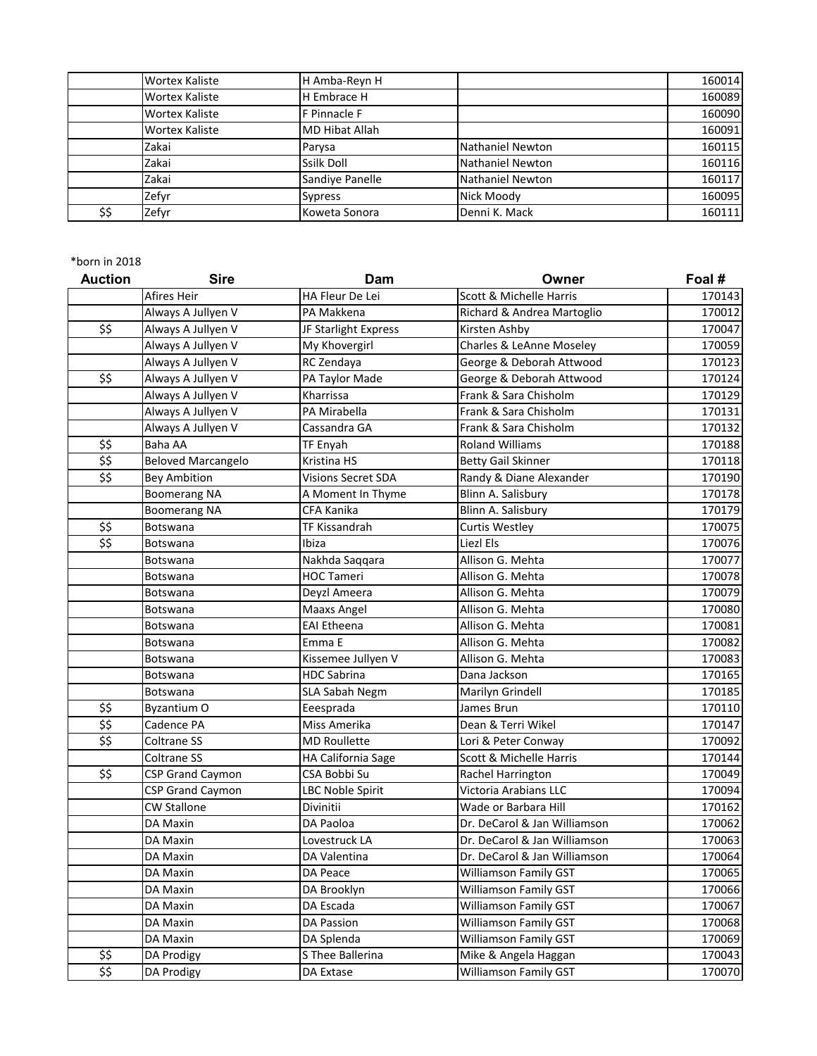|      | <b>Wortex Kaliste</b> | H Amba-Reyn H         |                         | 160014 |
|------|-----------------------|-----------------------|-------------------------|--------|
|      | <b>Wortex Kaliste</b> | H Embrace H           |                         | 160089 |
|      | <b>Wortex Kaliste</b> | F Pinnacle F          |                         | 160090 |
|      | <b>Wortex Kaliste</b> | <b>MD Hibat Allah</b> |                         | 160091 |
|      | Zakai                 | Parysa                | <b>Nathaniel Newton</b> | 160115 |
|      | Zakai                 | Ssilk Doll            | Nathaniel Newton        | 160116 |
|      | Zakai                 | Sandiye Panelle       | Nathaniel Newton        | 160117 |
|      | Zefyr                 | <b>Sypress</b>        | Nick Moody              | 160095 |
| \$\$ | Zefyr                 | Koweta Sonora         | Denni K. Mack           | 160111 |

| <b>Auction</b>                                        | <b>Sire</b>               | Dam                       | Owner                        | Foal # |
|-------------------------------------------------------|---------------------------|---------------------------|------------------------------|--------|
|                                                       | Afires Heir               | HA Fleur De Lei           | Scott & Michelle Harris      | 170143 |
|                                                       | Always A Jullyen V        | PA Makkena                | Richard & Andrea Martoglio   | 170012 |
| \$\$                                                  | Always A Jullyen V        | JF Starlight Express      | Kirsten Ashby                | 170047 |
|                                                       | Always A Jullyen V        | My Khovergirl             | Charles & LeAnne Moseley     | 170059 |
|                                                       | Always A Jullyen V        | RC Zendaya                | George & Deborah Attwood     | 170123 |
| \$\$                                                  | Always A Jullyen V        | PA Taylor Made            | George & Deborah Attwood     | 170124 |
|                                                       | Always A Jullyen V        | Kharrissa                 | Frank & Sara Chisholm        | 170129 |
|                                                       | Always A Jullyen V        | PA Mirabella              | Frank & Sara Chisholm        | 170131 |
|                                                       | Always A Jullyen V        | Cassandra GA              | Frank & Sara Chisholm        | 170132 |
| \$\$                                                  | Baha AA                   | <b>TF Enyah</b>           | <b>Roland Williams</b>       | 170188 |
| \$\$                                                  | <b>Beloved Marcangelo</b> | Kristina HS               | <b>Betty Gail Skinner</b>    | 170118 |
| $\overline{\boldsymbol{\hat{z}}\boldsymbol{\hat{z}}}$ | <b>Bey Ambition</b>       | <b>Visions Secret SDA</b> | Randy & Diane Alexander      | 170190 |
|                                                       | <b>Boomerang NA</b>       | A Moment In Thyme         | Blinn A. Salisbury           | 170178 |
|                                                       | <b>Boomerang NA</b>       | CFA Kanika                | Blinn A. Salisbury           | 170179 |
| \$\$                                                  | Botswana                  | TF Kissandrah             | <b>Curtis Westley</b>        | 170075 |
| $\overline{\boldsymbol{\hat{z}}\boldsymbol{\hat{z}}}$ | Botswana                  | Ibiza                     | Liezl Els                    | 170076 |
|                                                       | Botswana                  | Nakhda Saqqara            | Allison G. Mehta             | 170077 |
|                                                       | Botswana                  | <b>HOC Tameri</b>         | Allison G. Mehta             | 170078 |
|                                                       | Botswana                  | Deyzl Ameera              | Allison G. Mehta             | 170079 |
|                                                       | Botswana                  | Maaxs Angel               | Allison G. Mehta             | 170080 |
|                                                       | Botswana                  | <b>EAI Etheena</b>        | Allison G. Mehta             | 170081 |
|                                                       | Botswana                  | Emma E                    | Allison G. Mehta             | 170082 |
|                                                       | Botswana                  | Kissemee Jullyen V        | Allison G. Mehta             | 170083 |
|                                                       | Botswana                  | <b>HDC Sabrina</b>        | Dana Jackson                 | 170165 |
|                                                       | Botswana                  | <b>SLA Sabah Negm</b>     | Marilyn Grindell             | 170185 |
| \$\$                                                  | Byzantium O               | Eeesprada                 | James Brun                   | 170110 |
| $\overline{\mathfrak{s}}$                             | Cadence PA                | Miss Amerika              | Dean & Terri Wikel           | 170147 |
| \$\$                                                  | Coltrane SS               | <b>MD Roullette</b>       | Lori & Peter Conway          | 170092 |
|                                                       | Coltrane SS               | HA California Sage        | Scott & Michelle Harris      | 170144 |
| \$\$                                                  | <b>CSP Grand Caymon</b>   | CSA Bobbi Su              | Rachel Harrington            | 170049 |
|                                                       | <b>CSP Grand Caymon</b>   | <b>LBC Noble Spirit</b>   | Victoria Arabians LLC        | 170094 |
|                                                       | <b>CW Stallone</b>        | Divinitii                 | Wade or Barbara Hill         | 170162 |
|                                                       | DA Maxin                  | DA Paoloa                 | Dr. DeCarol & Jan Williamson | 170062 |
|                                                       | DA Maxin                  | Lovestruck LA             | Dr. DeCarol & Jan Williamson | 170063 |
|                                                       | DA Maxin                  | DA Valentina              | Dr. DeCarol & Jan Williamson | 170064 |
|                                                       | DA Maxin                  | DA Peace                  | Williamson Family GST        | 170065 |
|                                                       | DA Maxin                  | DA Brooklyn               | Williamson Family GST        | 170066 |
|                                                       | DA Maxin                  | DA Escada                 | Williamson Family GST        | 170067 |
|                                                       | DA Maxin                  | DA Passion                | Williamson Family GST        | 170068 |
|                                                       | DA Maxin                  | DA Splenda                | <b>Williamson Family GST</b> | 170069 |
| \$\$                                                  | DA Prodigy                | S Thee Ballerina          | Mike & Angela Haggan         | 170043 |
| \$\$                                                  | DA Prodigy                | DA Extase                 | Williamson Family GST        | 170070 |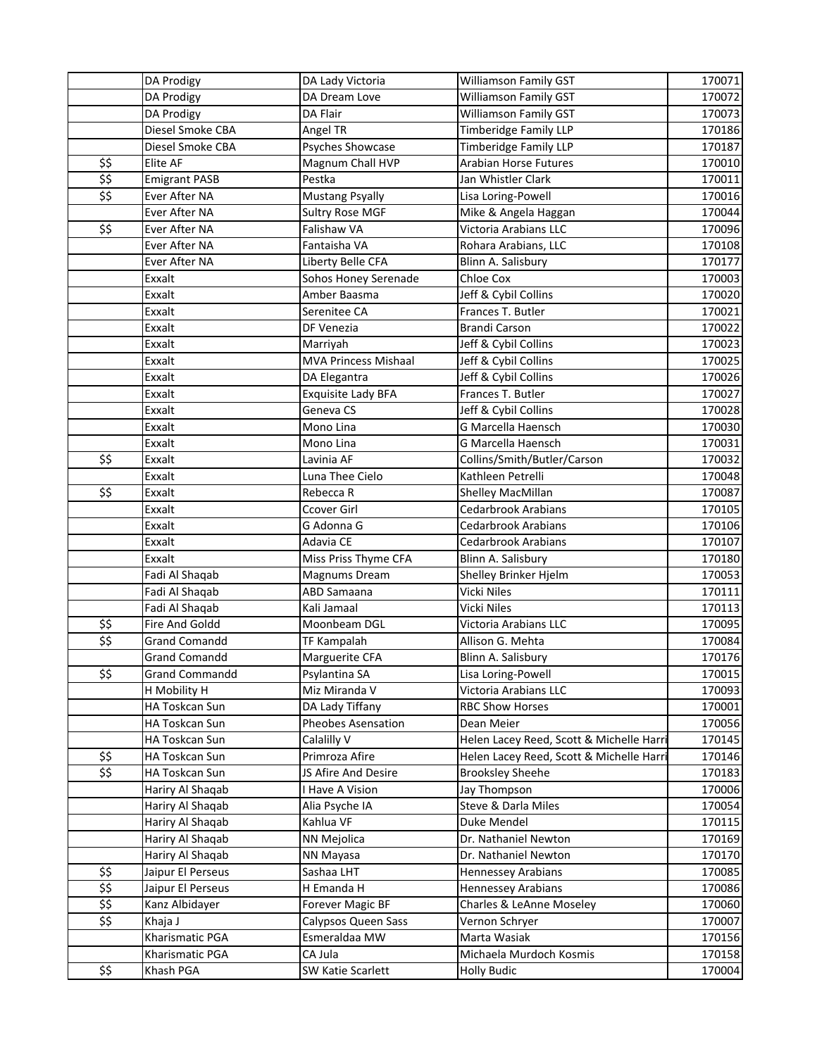|      | DA Prodigy            | DA Lady Victoria            | Williamson Family GST                   | 170071 |
|------|-----------------------|-----------------------------|-----------------------------------------|--------|
|      | DA Prodigy            | DA Dream Love               | Williamson Family GST                   | 170072 |
|      | DA Prodigy            | DA Flair                    | Williamson Family GST                   | 170073 |
|      | Diesel Smoke CBA      | Angel TR                    | <b>Timberidge Family LLP</b>            | 170186 |
|      | Diesel Smoke CBA      | Psyches Showcase            | <b>Timberidge Family LLP</b>            | 170187 |
| \$\$ | Elite AF              | Magnum Chall HVP            | <b>Arabian Horse Futures</b>            | 170010 |
| \$5  | <b>Emigrant PASB</b>  | Pestka                      | Jan Whistler Clark                      | 170011 |
| \$\$ | Ever After NA         | <b>Mustang Psyally</b>      | Lisa Loring-Powell                      | 170016 |
|      | Ever After NA         | <b>Sultry Rose MGF</b>      | Mike & Angela Haggan                    | 170044 |
| \$\$ | Ever After NA         | Falishaw VA                 | Victoria Arabians LLC                   | 170096 |
|      | Ever After NA         | Fantaisha VA                | Rohara Arabians, LLC                    | 170108 |
|      | Ever After NA         | Liberty Belle CFA           | Blinn A. Salisbury                      | 170177 |
|      | Exxalt                | Sohos Honey Serenade        | Chloe Cox                               | 170003 |
|      | Exxalt                | Amber Baasma                | Jeff & Cybil Collins                    | 170020 |
|      | Exxalt                | Serenitee CA                | Frances T. Butler                       | 170021 |
|      | Exxalt                | DF Venezia                  | <b>Brandi Carson</b>                    | 170022 |
|      | Exxalt                | Marriyah                    | Jeff & Cybil Collins                    | 170023 |
|      | Exxalt                | <b>MVA Princess Mishaal</b> | Jeff & Cybil Collins                    | 170025 |
|      | Exxalt                | DA Elegantra                | Jeff & Cybil Collins                    | 170026 |
|      | Exxalt                | <b>Exquisite Lady BFA</b>   | Frances T. Butler                       | 170027 |
|      | Exxalt                | Geneva CS                   | Jeff & Cybil Collins                    | 170028 |
|      | Exxalt                | Mono Lina                   | G Marcella Haensch                      | 170030 |
|      | Exxalt                | Mono Lina                   | G Marcella Haensch                      | 170031 |
| \$\$ | Exxalt                | Lavinia AF                  | Collins/Smith/Butler/Carson             | 170032 |
|      | Exxalt                | Luna Thee Cielo             | Kathleen Petrelli                       | 170048 |
| \$\$ | Exxalt                | Rebecca R                   | Shelley MacMillan                       | 170087 |
|      | Exxalt                | Ccover Girl                 | <b>Cedarbrook Arabians</b>              | 170105 |
|      | Exxalt                | G Adonna G                  | Cedarbrook Arabians                     | 170106 |
|      | Exxalt                | Adavia CE                   | <b>Cedarbrook Arabians</b>              | 170107 |
|      | Exxalt                | Miss Priss Thyme CFA        | Blinn A. Salisbury                      | 170180 |
|      | Fadi Al Shaqab        | Magnums Dream               | Shelley Brinker Hjelm                   | 170053 |
|      | Fadi Al Shaqab        | ABD Samaana                 | <b>Vicki Niles</b>                      | 170111 |
|      | Fadi Al Shaqab        | Kali Jamaal                 | Vicki Niles                             | 170113 |
| \$\$ | Fire And Goldd        | Moonbeam DGL                | Victoria Arabians LLC                   | 170095 |
| \$\$ | <b>Grand Comandd</b>  | TF Kampalah                 | Allison G. Mehta                        | 170084 |
|      | <b>Grand Comandd</b>  | Marguerite CFA              | Blinn A. Salisbury                      | 170176 |
| \$\$ | <b>Grand Commandd</b> | Psylantina SA               | Lisa Loring-Powell                      | 170015 |
|      | H Mobility H          | Miz Miranda V               | Victoria Arabians LLC                   | 170093 |
|      | HA Toskcan Sun        | DA Lady Tiffany             | <b>RBC Show Horses</b>                  | 170001 |
|      | HA Toskcan Sun        | Pheobes Asensation          | Dean Meier                              | 170056 |
|      | HA Toskcan Sun        | Calalilly V                 | Helen Lacey Reed, Scott & Michelle Harr | 170145 |
| \$\$ | HA Toskcan Sun        | Primroza Afire              | Helen Lacey Reed, Scott & Michelle Harr | 170146 |
| \$\$ | HA Toskcan Sun        | JS Afire And Desire         | <b>Brooksley Sheehe</b>                 | 170183 |
|      | Hariry Al Shaqab      | I Have A Vision             | Jay Thompson                            | 170006 |
|      | Hariry Al Shaqab      | Alia Psyche IA              | Steve & Darla Miles                     | 170054 |
|      | Hariry Al Shaqab      | Kahlua VF                   | Duke Mendel                             | 170115 |
|      | Hariry Al Shaqab      | NN Mejolica                 | Dr. Nathaniel Newton                    | 170169 |
|      | Hariry Al Shaqab      | NN Mayasa                   | Dr. Nathaniel Newton                    | 170170 |
| \$\$ | Jaipur El Perseus     | Sashaa LHT                  | Hennessey Arabians                      | 170085 |
| \$\$ | Jaipur El Perseus     | H Emanda H                  | Hennessey Arabians                      | 170086 |
| \$\$ | Kanz Albidayer        | Forever Magic BF            | Charles & LeAnne Moseley                | 170060 |
| \$\$ | Khaja J               | Calypsos Queen Sass         | Vernon Schryer                          | 170007 |
|      | Kharismatic PGA       | Esmeraldaa MW               | Marta Wasiak                            | 170156 |
|      | Kharismatic PGA       | CA Jula                     | Michaela Murdoch Kosmis                 | 170158 |
| \$\$ | Khash PGA             | SW Katie Scarlett           | <b>Holly Budic</b>                      | 170004 |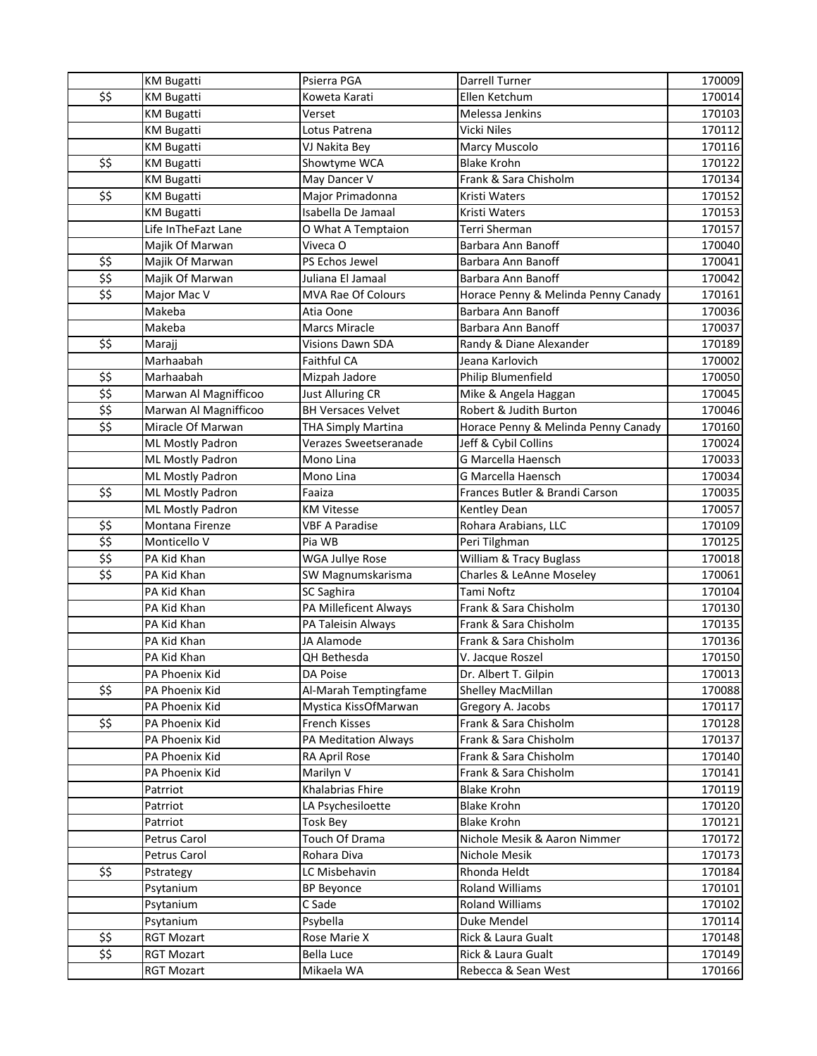|              | <b>KM Bugatti</b>       | Psierra PGA               | <b>Darrell Turner</b>               | 170009 |
|--------------|-------------------------|---------------------------|-------------------------------------|--------|
| \$\$         | <b>KM Bugatti</b>       | Koweta Karati             | Ellen Ketchum                       | 170014 |
|              | <b>KM Bugatti</b>       | Verset                    | Melessa Jenkins                     | 170103 |
|              | <b>KM Bugatti</b>       | Lotus Patrena             | Vicki Niles                         | 170112 |
|              | <b>KM Bugatti</b>       | VJ Nakita Bey             | Marcy Muscolo                       | 170116 |
| \$\$         | <b>KM Bugatti</b>       | Showtyme WCA              | <b>Blake Krohn</b>                  | 170122 |
|              | <b>KM Bugatti</b>       | May Dancer V              | Frank & Sara Chisholm               | 170134 |
| \$\$         | <b>KM Bugatti</b>       | Major Primadonna          | Kristi Waters                       | 170152 |
|              | <b>KM Bugatti</b>       | Isabella De Jamaal        | <b>Kristi Waters</b>                | 170153 |
|              | Life InTheFazt Lane     | O What A Temptaion        | Terri Sherman                       | 170157 |
|              | Majik Of Marwan         | Viveca O                  | Barbara Ann Banoff                  | 170040 |
| \$\$         | Majik Of Marwan         | PS Echos Jewel            | Barbara Ann Banoff                  | 170041 |
| \$\$         | Majik Of Marwan         | Juliana El Jamaal         | Barbara Ann Banoff                  | 170042 |
| \$\$         | Major Mac V             | MVA Rae Of Colours        | Horace Penny & Melinda Penny Canady | 170161 |
|              | Makeba                  | Atia Oone                 | Barbara Ann Banoff                  | 170036 |
|              | Makeba                  | <b>Marcs Miracle</b>      | Barbara Ann Banoff                  | 170037 |
| \$\$         | Marajj                  | <b>Visions Dawn SDA</b>   | Randy & Diane Alexander             | 170189 |
|              | Marhaabah               | Faithful CA               | Jeana Karlovich                     | 170002 |
| \$\$         | Marhaabah               | Mizpah Jadore             | Philip Blumenfield                  | 170050 |
| \$5          | Marwan Al Magnifficoo   | <b>Just Alluring CR</b>   | Mike & Angela Haggan                | 170045 |
| \$5          | Marwan Al Magnifficoo   | <b>BH Versaces Velvet</b> | Robert & Judith Burton              | 170046 |
| \$\$         | Miracle Of Marwan       | <b>THA Simply Martina</b> | Horace Penny & Melinda Penny Canady | 170160 |
|              | <b>ML Mostly Padron</b> | Verazes Sweetseranade     | Jeff & Cybil Collins                | 170024 |
|              | <b>ML Mostly Padron</b> | Mono Lina                 | G Marcella Haensch                  | 170033 |
|              | <b>ML Mostly Padron</b> | Mono Lina                 | <b>G Marcella Haensch</b>           | 170034 |
| \$\$         | <b>ML Mostly Padron</b> | Faaiza                    | Frances Butler & Brandi Carson      | 170035 |
|              | <b>ML Mostly Padron</b> | <b>KM Vitesse</b>         | Kentley Dean                        | 170057 |
| \$\$         | Montana Firenze         | <b>VBF A Paradise</b>     | Rohara Arabians, LLC                | 170109 |
| \$\$         | Monticello V            | Pia WB                    | Peri Tilghman                       | 170125 |
| \$\$         | PA Kid Khan             | <b>WGA Jullye Rose</b>    | William & Tracy Buglass             | 170018 |
| \$\$         | PA Kid Khan             | SW Magnumskarisma         | Charles & LeAnne Moseley            | 170061 |
|              | PA Kid Khan             | SC Saghira                | Tami Noftz                          | 170104 |
|              | PA Kid Khan             | PA Milleficent Always     | Frank & Sara Chisholm               | 170130 |
|              | PA Kid Khan             | PA Taleisin Always        | Frank & Sara Chisholm               | 170135 |
|              | PA Kid Khan             | JA Alamode                | Frank & Sara Chisholm               | 170136 |
|              | PA Kid Khan             | QH Bethesda               | V. Jacque Roszel                    | 170150 |
|              | PA Phoenix Kid          | DA Poise                  | Dr. Albert T. Gilpin                | 170013 |
| \$\$         | PA Phoenix Kid          | Al-Marah Temptingfame     | Shelley MacMillan                   | 170088 |
|              | PA Phoenix Kid          | Mystica KissOfMarwan      | Gregory A. Jacobs                   | 170117 |
| \$\$         | PA Phoenix Kid          | <b>French Kisses</b>      | Frank & Sara Chisholm               | 170128 |
|              | PA Phoenix Kid          | PA Meditation Always      | Frank & Sara Chisholm               | 170137 |
|              | PA Phoenix Kid          | RA April Rose             | Frank & Sara Chisholm               | 170140 |
|              | PA Phoenix Kid          | Marilyn V                 | Frank & Sara Chisholm               | 170141 |
|              | Patrriot                | Khalabrias Fhire          | <b>Blake Krohn</b>                  | 170119 |
|              | Patrriot                | LA Psychesiloette         | <b>Blake Krohn</b>                  | 170120 |
|              | Patrriot                | <b>Tosk Bey</b>           | <b>Blake Krohn</b>                  | 170121 |
|              | Petrus Carol            | Touch Of Drama            | Nichole Mesik & Aaron Nimmer        | 170172 |
|              | Petrus Carol            | Rohara Diva               | Nichole Mesik                       | 170173 |
| \$\$         | Pstrategy               | LC Misbehavin             | Rhonda Heldt                        | 170184 |
|              | Psytanium               | <b>BP Beyonce</b>         | Roland Williams                     | 170101 |
|              | Psytanium               | C Sade                    | Roland Williams                     | 170102 |
|              | Psytanium               | Psybella                  | Duke Mendel                         | 170114 |
| \$\$<br>\$\$ | <b>RGT Mozart</b>       | Rose Marie X              | Rick & Laura Gualt                  | 170148 |
|              | <b>RGT Mozart</b>       | <b>Bella Luce</b>         | Rick & Laura Gualt                  | 170149 |
|              | <b>RGT Mozart</b>       | Mikaela WA                | Rebecca & Sean West                 | 170166 |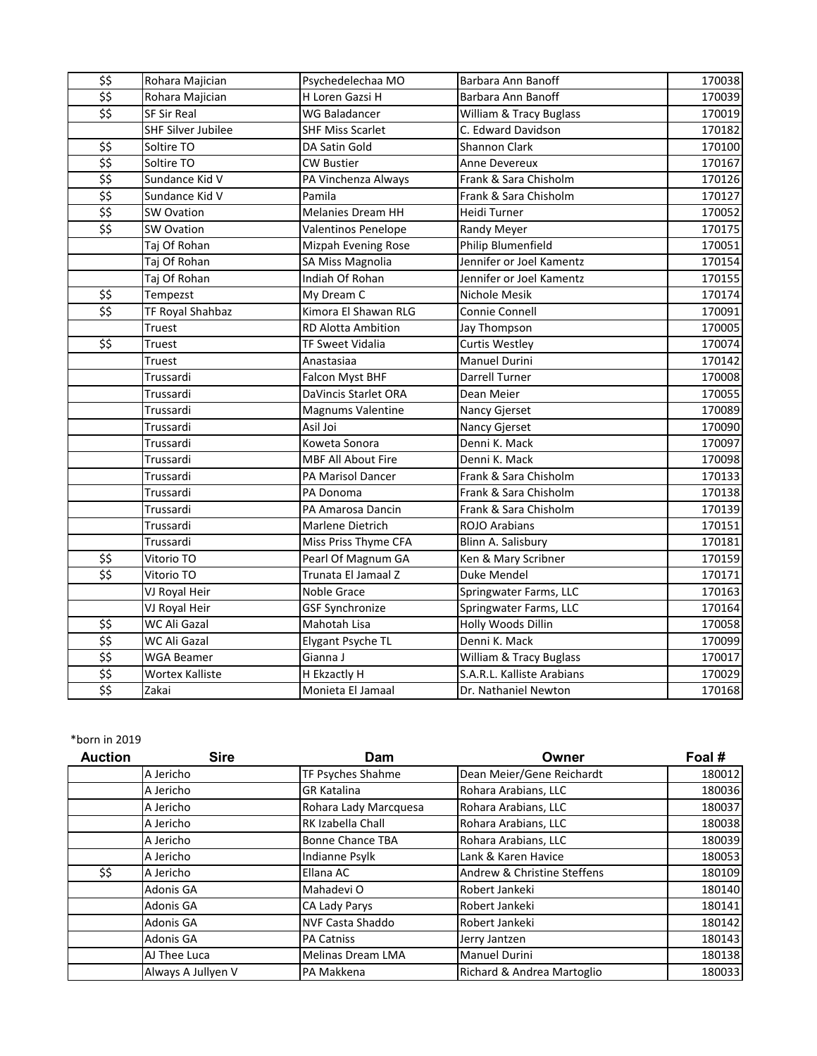| \$\$                                                  | Rohara Majician           | Psychedelechaa MO          | Barbara Ann Banoff         | 170038 |
|-------------------------------------------------------|---------------------------|----------------------------|----------------------------|--------|
| $\overline{\boldsymbol{\hat{z}}\boldsymbol{\hat{z}}}$ | Rohara Majician           | H Loren Gazsi H            | Barbara Ann Banoff         | 170039 |
| \$5                                                   | <b>SF Sir Real</b>        | <b>WG Baladancer</b>       | William & Tracy Buglass    | 170019 |
|                                                       | <b>SHF Silver Jubilee</b> | <b>SHF Miss Scarlet</b>    | C. Edward Davidson         | 170182 |
| \$\$                                                  | Soltire TO                | DA Satin Gold              | <b>Shannon Clark</b>       | 170100 |
| \$5                                                   | Soltire TO                | <b>CW Bustier</b>          | <b>Anne Devereux</b>       | 170167 |
| \$\$                                                  | Sundance Kid V            | PA Vinchenza Always        | Frank & Sara Chisholm      | 170126 |
| \$\$                                                  | Sundance Kid V            | Pamila                     | Frank & Sara Chisholm      | 170127 |
| \$\$                                                  | <b>SW Ovation</b>         | <b>Melanies Dream HH</b>   | Heidi Turner               | 170052 |
| $\overline{\boldsymbol{\hat{z}}\boldsymbol{\hat{z}}}$ | <b>SW Ovation</b>         | <b>Valentinos Penelope</b> | Randy Meyer                | 170175 |
|                                                       | Taj Of Rohan              | Mizpah Evening Rose        | Philip Blumenfield         | 170051 |
|                                                       | Taj Of Rohan              | <b>SA Miss Magnolia</b>    | Jennifer or Joel Kamentz   | 170154 |
|                                                       | Taj Of Rohan              | Indiah Of Rohan            | Jennifer or Joel Kamentz   | 170155 |
| \$\$                                                  | Tempezst                  | My Dream C                 | Nichole Mesik              | 170174 |
| \$5                                                   | TF Royal Shahbaz          | Kimora El Shawan RLG       | Connie Connell             | 170091 |
|                                                       | Truest                    | <b>RD Alotta Ambition</b>  | Jay Thompson               | 170005 |
| \$\$                                                  | Truest                    | <b>TF Sweet Vidalia</b>    | <b>Curtis Westley</b>      | 170074 |
|                                                       | Truest                    | Anastasiaa                 | <b>Manuel Durini</b>       | 170142 |
|                                                       | Trussardi                 | Falcon Myst BHF            | Darrell Turner             | 170008 |
|                                                       | Trussardi                 | DaVincis Starlet ORA       | Dean Meier                 | 170055 |
|                                                       | Trussardi                 | Magnums Valentine          | Nancy Gjerset              | 170089 |
|                                                       | Trussardi                 | Asil Joi                   | Nancy Gjerset              | 170090 |
|                                                       | Trussardi                 | Koweta Sonora              | Denni K. Mack              | 170097 |
|                                                       | Trussardi                 | MBF All About Fire         | Denni K. Mack              | 170098 |
|                                                       | Trussardi                 | PA Marisol Dancer          | Frank & Sara Chisholm      | 170133 |
|                                                       | Trussardi                 | PA Donoma                  | Frank & Sara Chisholm      | 170138 |
|                                                       | Trussardi                 | PA Amarosa Dancin          | Frank & Sara Chisholm      | 170139 |
|                                                       | Trussardi                 | Marlene Dietrich           | <b>ROJO Arabians</b>       | 170151 |
|                                                       | Trussardi                 | Miss Priss Thyme CFA       | Blinn A. Salisbury         | 170181 |
| \$\$                                                  | Vitorio TO                | Pearl Of Magnum GA         | Ken & Mary Scribner        | 170159 |
| \$\$                                                  | Vitorio TO                | Trunata El Jamaal Z        | Duke Mendel                | 170171 |
|                                                       | VJ Royal Heir             | Noble Grace                | Springwater Farms, LLC     | 170163 |
|                                                       | VJ Royal Heir             | <b>GSF Synchronize</b>     | Springwater Farms, LLC     | 170164 |
| \$\$                                                  | WC Ali Gazal              | Mahotah Lisa               | Holly Woods Dillin         | 170058 |
| \$\$                                                  | WC Ali Gazal              | Elygant Psyche TL          | Denni K. Mack              | 170099 |
| \$5                                                   | <b>WGA Beamer</b>         | Gianna J                   | William & Tracy Buglass    | 170017 |
| \$5                                                   | Wortex Kalliste           | H Ekzactly H               | S.A.R.L. Kalliste Arabians | 170029 |
| $\overline{\boldsymbol{\hat{z}}\boldsymbol{\hat{z}}}$ | Zakai                     | Monieta El Jamaal          | Dr. Nathaniel Newton       | 170168 |

| <b>Auction</b> | <b>Sire</b>        | Dam                      | Owner                       | Foal # |
|----------------|--------------------|--------------------------|-----------------------------|--------|
|                | A Jericho          | TF Psyches Shahme        | Dean Meier/Gene Reichardt   | 180012 |
|                | A Jericho          | <b>GR Katalina</b>       | Rohara Arabians, LLC        | 180036 |
|                | A Jericho          | Rohara Lady Marcquesa    | Rohara Arabians, LLC        | 180037 |
|                | A Jericho          | RK Izabella Chall        | Rohara Arabians, LLC        | 180038 |
|                | A Jericho          | <b>Bonne Chance TBA</b>  | Rohara Arabians, LLC        | 180039 |
|                | A Jericho          | Indianne Psylk           | Lank & Karen Havice         | 180053 |
| \$\$           | A Jericho          | Ellana AC                | Andrew & Christine Steffens | 180109 |
|                | Adonis GA          | Mahadevi O               | Robert Jankeki              | 180140 |
|                | Adonis GA          | CA Lady Parys            | Robert Jankeki              | 180141 |
|                | Adonis GA          | <b>NVF Casta Shaddo</b>  | Robert Jankeki              | 180142 |
|                | Adonis GA          | <b>PA Catniss</b>        | Jerry Jantzen               | 180143 |
|                | AJ Thee Luca       | <b>Melinas Dream LMA</b> | <b>Manuel Durini</b>        | 180138 |
|                | Always A Jullyen V | PA Makkena               | Richard & Andrea Martoglio  | 180033 |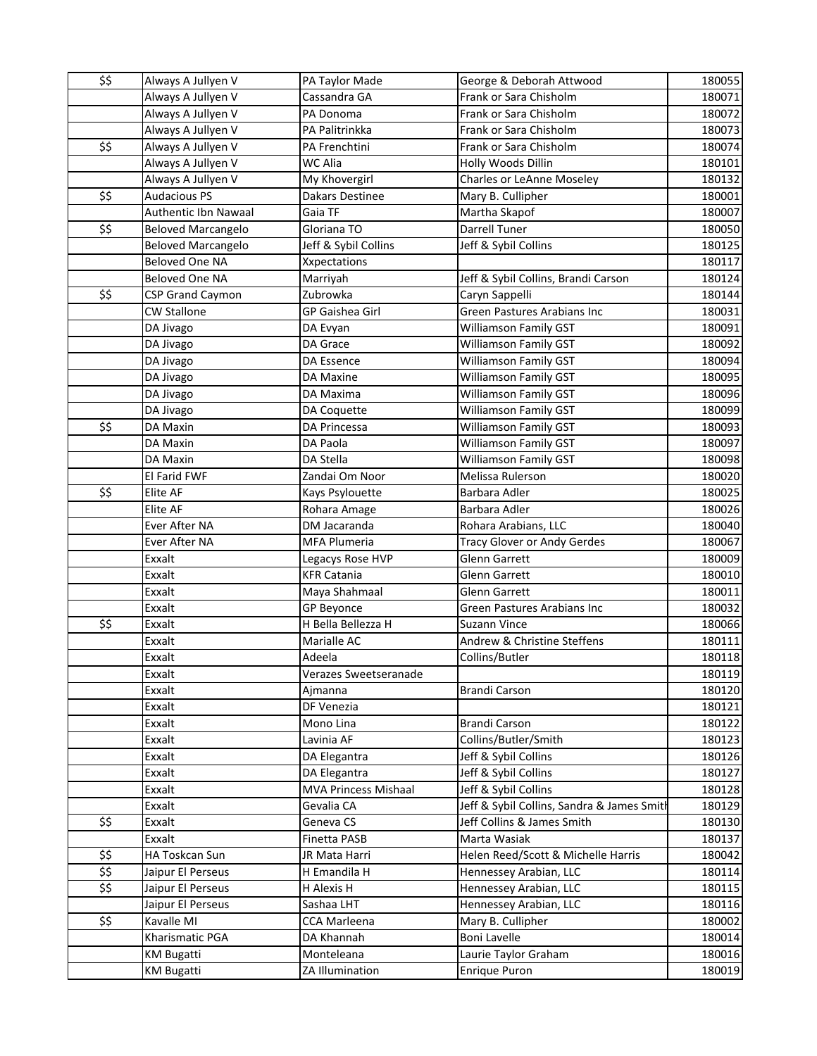| \$\$                                                  | Always A Jullyen V                     | PA Taylor Made             | George & Deborah Attwood                         | 180055           |
|-------------------------------------------------------|----------------------------------------|----------------------------|--------------------------------------------------|------------------|
|                                                       | Always A Jullyen V                     | Cassandra GA               | Frank or Sara Chisholm                           | 180071           |
|                                                       | Always A Jullyen V                     | PA Donoma                  | Frank or Sara Chisholm                           | 180072           |
|                                                       | Always A Jullyen V                     | PA Palitrinkka             | Frank or Sara Chisholm                           | 180073           |
| \$\$                                                  | Always A Jullyen V                     | PA Frenchtini              | Frank or Sara Chisholm                           | 180074           |
|                                                       | Always A Jullyen V                     | WC Alia                    | Holly Woods Dillin                               | 180101           |
|                                                       | Always A Jullyen V                     | My Khovergirl              | Charles or LeAnne Moseley                        | 180132           |
| \$\$                                                  | <b>Audacious PS</b>                    | Dakars Destinee            | Mary B. Cullipher                                | 180001           |
|                                                       | Authentic Ibn Nawaal                   | Gaia TF                    | Martha Skapof                                    | 180007           |
| \$\$                                                  | <b>Beloved Marcangelo</b>              | Gloriana TO                | <b>Darrell Tuner</b>                             | 180050           |
|                                                       | <b>Beloved Marcangelo</b>              | Jeff & Sybil Collins       | Jeff & Sybil Collins                             | 180125           |
|                                                       | <b>Beloved One NA</b>                  | Xxpectations               |                                                  | 180117           |
|                                                       | Beloved One NA                         | Marriyah                   | Jeff & Sybil Collins, Brandi Carson              | 180124           |
| $\overline{\boldsymbol{\hat{z}}\boldsymbol{\hat{z}}}$ | <b>CSP Grand Caymon</b>                | Zubrowka                   | Caryn Sappelli                                   | 180144           |
|                                                       | <b>CW Stallone</b>                     | <b>GP Gaishea Girl</b>     | Green Pastures Arabians Inc                      | 180031           |
|                                                       | DA Jivago                              | DA Evyan                   | Williamson Family GST                            | 180091           |
|                                                       | DA Jivago                              | DA Grace                   | Williamson Family GST                            | 180092           |
|                                                       | DA Jivago                              | DA Essence                 | Williamson Family GST                            | 180094           |
|                                                       | DA Jivago                              | DA Maxine                  | Williamson Family GST                            | 180095           |
|                                                       | DA Jivago                              | DA Maxima                  | Williamson Family GST                            | 180096           |
|                                                       | DA Jivago                              | DA Coquette                | Williamson Family GST                            | 180099           |
| \$\$                                                  | DA Maxin                               | DA Princessa               | Williamson Family GST                            | 180093           |
|                                                       | DA Maxin                               | DA Paola                   | Williamson Family GST                            | 180097           |
|                                                       | DA Maxin                               | DA Stella                  | <b>Williamson Family GST</b>                     | 180098           |
|                                                       | El Farid FWF                           | Zandai Om Noor             | Melissa Rulerson                                 | 180020           |
| \$\$                                                  | Elite AF                               | Kays Psylouette            | Barbara Adler                                    | 180025           |
|                                                       | Elite AF                               | Rohara Amage               | Barbara Adler                                    | 180026           |
|                                                       | Ever After NA                          | DM Jacaranda               | Rohara Arabians, LLC                             | 180040           |
|                                                       | Ever After NA                          | MFA Plumeria               | <b>Tracy Glover or Andy Gerdes</b>               | 180067           |
|                                                       | Exxalt                                 | Legacys Rose HVP           | <b>Glenn Garrett</b>                             | 180009           |
|                                                       | Exxalt                                 | <b>KFR Catania</b>         | <b>Glenn Garrett</b>                             | 180010           |
|                                                       | Exxalt                                 | Maya Shahmaal              | Glenn Garrett                                    | 180011           |
|                                                       | Exxalt                                 | GP Beyonce                 | Green Pastures Arabians Inc                      | 180032           |
| \$\$                                                  | Exxalt                                 | H Bella Bellezza H         | Suzann Vince                                     | 180066           |
|                                                       | Exxalt                                 | Marialle AC                | Andrew & Christine Steffens                      | 180111           |
|                                                       | Exxalt                                 | Adeela                     | Collins/Butler                                   | 180118           |
|                                                       | Exxalt                                 | Verazes Sweetseranade      |                                                  | 180119           |
|                                                       | Exxalt                                 | Ajmanna                    | <b>Brandi Carson</b>                             | 180120           |
|                                                       | Exxalt                                 | DF Venezia                 |                                                  | 180121           |
|                                                       | Exxalt                                 | Mono Lina                  | <b>Brandi Carson</b>                             | 180122           |
|                                                       | Exxalt                                 | Lavinia AF                 | Collins/Butler/Smith                             | 180123           |
|                                                       | Exxalt                                 | DA Elegantra               | Jeff & Sybil Collins                             | 180126           |
|                                                       | Exxalt                                 | DA Elegantra               | Jeff & Sybil Collins                             | 180127           |
|                                                       | Exxalt                                 | MVA Princess Mishaal       | Jeff & Sybil Collins                             | 180128           |
|                                                       | Exxalt                                 | Gevalia CA                 | Jeff & Sybil Collins, Sandra & James Smith       | 180129           |
| \$\$                                                  | Exxalt                                 | Geneva CS                  | Jeff Collins & James Smith                       | 180130           |
|                                                       | Exxalt                                 | Finetta PASB               | Marta Wasiak                                     | 180137           |
| \$\$<br>\$\$                                          | HA Toskcan Sun                         | JR Mata Harri              | Helen Reed/Scott & Michelle Harris               | 180042           |
| $\overline{\mathfrak{s}}$                             | Jaipur El Perseus<br>Jaipur El Perseus | H Emandila H<br>H Alexis H | Hennessey Arabian, LLC                           | 180114           |
|                                                       | Jaipur El Perseus                      | Sashaa LHT                 | Hennessey Arabian, LLC<br>Hennessey Arabian, LLC | 180115<br>180116 |
| \$\$                                                  | Kavalle MI                             | CCA Marleena               | Mary B. Cullipher                                | 180002           |
|                                                       | Kharismatic PGA                        | DA Khannah                 | <b>Boni Lavelle</b>                              | 180014           |
|                                                       | <b>KM Bugatti</b>                      | Monteleana                 | Laurie Taylor Graham                             | 180016           |
|                                                       | <b>KM Bugatti</b>                      | ZA Illumination            | Enrique Puron                                    | 180019           |
|                                                       |                                        |                            |                                                  |                  |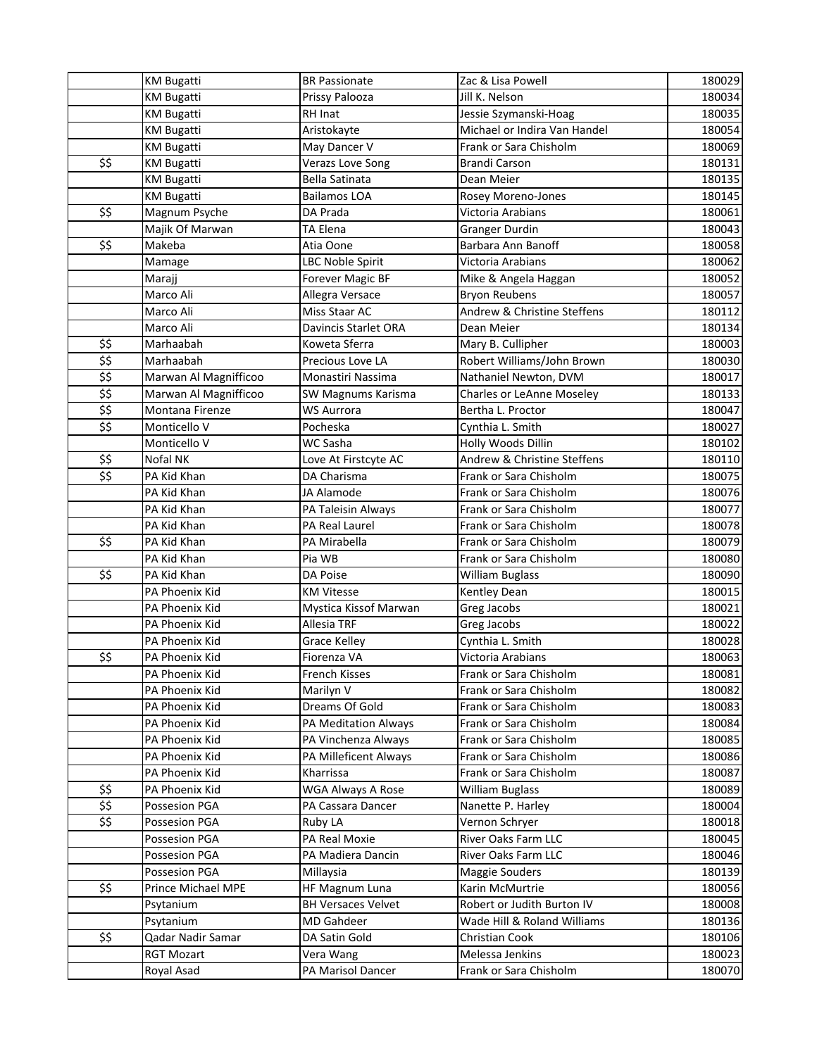|                                                       | <b>KM Bugatti</b>                | <b>BR Passionate</b>               | Zac & Lisa Powell                                | 180029           |
|-------------------------------------------------------|----------------------------------|------------------------------------|--------------------------------------------------|------------------|
|                                                       | <b>KM Bugatti</b>                | Prissy Palooza                     | Jill K. Nelson                                   | 180034           |
|                                                       | <b>KM Bugatti</b>                | RH Inat                            | Jessie Szymanski-Hoag                            | 180035           |
|                                                       | <b>KM Bugatti</b>                | Aristokayte                        | Michael or Indira Van Handel                     | 180054           |
|                                                       | <b>KM Bugatti</b>                | May Dancer V                       | Frank or Sara Chisholm                           | 180069           |
| \$\$                                                  | <b>KM Bugatti</b>                | Verazs Love Song                   | <b>Brandi Carson</b>                             | 180131           |
|                                                       | <b>KM Bugatti</b>                | <b>Bella Satinata</b>              | Dean Meier                                       | 180135           |
|                                                       | <b>KM Bugatti</b>                | <b>Bailamos LOA</b>                | Rosey Moreno-Jones                               | 180145           |
| \$\$                                                  | Magnum Psyche                    | DA Prada                           | Victoria Arabians                                | 180061           |
|                                                       | Majik Of Marwan                  | <b>TA Elena</b>                    | <b>Granger Durdin</b>                            | 180043           |
| $\overline{\boldsymbol{\hat{z}}\boldsymbol{\hat{z}}}$ | Makeba                           | Atia Oone                          | Barbara Ann Banoff                               | 180058           |
|                                                       | Mamage                           | LBC Noble Spirit                   | Victoria Arabians                                | 180062           |
|                                                       | Marajj                           | Forever Magic BF                   | Mike & Angela Haggan                             | 180052           |
|                                                       | Marco Ali                        | Allegra Versace                    | <b>Bryon Reubens</b>                             | 180057           |
|                                                       | Marco Ali                        | Miss Staar AC                      | Andrew & Christine Steffens                      | 180112           |
|                                                       | Marco Ali                        | Davincis Starlet ORA               | Dean Meier                                       | 180134           |
| \$\$                                                  | Marhaabah                        | Koweta Sferra                      | Mary B. Cullipher                                | 180003           |
| \$\$                                                  | Marhaabah                        | Precious Love LA                   | Robert Williams/John Brown                       | 180030           |
| \$\$                                                  | Marwan Al Magnifficoo            | Monastiri Nassima                  | Nathaniel Newton, DVM                            | 180017           |
| \$5                                                   | Marwan Al Magnifficoo            | SW Magnums Karisma                 | Charles or LeAnne Moseley                        | 180133           |
| \$5                                                   | Montana Firenze                  | <b>WS Aurrora</b>                  | Bertha L. Proctor                                | 180047           |
| \$\$                                                  | Monticello V                     | Pocheska                           | Cynthia L. Smith                                 | 180027           |
|                                                       | Monticello V                     | WC Sasha                           | Holly Woods Dillin                               | 180102           |
| \$\$                                                  | Nofal NK                         | Love At Firstcyte AC               | Andrew & Christine Steffens                      | 180110           |
| \$\$                                                  | PA Kid Khan                      | DA Charisma                        | Frank or Sara Chisholm                           | 180075           |
|                                                       | PA Kid Khan                      | JA Alamode                         | Frank or Sara Chisholm                           | 180076           |
|                                                       | PA Kid Khan                      | PA Taleisin Always                 | Frank or Sara Chisholm                           | 180077           |
|                                                       | PA Kid Khan                      | PA Real Laurel                     | Frank or Sara Chisholm                           | 180078           |
| \$\$                                                  | PA Kid Khan                      | PA Mirabella                       | Frank or Sara Chisholm                           | 180079           |
|                                                       | PA Kid Khan                      | Pia WB                             | Frank or Sara Chisholm                           | 180080           |
| \$\$                                                  | PA Kid Khan                      | DA Poise                           | <b>William Buglass</b>                           | 180090           |
|                                                       | PA Phoenix Kid                   | <b>KM Vitesse</b>                  | Kentley Dean                                     | 180015           |
|                                                       | PA Phoenix Kid                   | Mystica Kissof Marwan              | Greg Jacobs                                      | 180021           |
|                                                       | PA Phoenix Kid                   | Allesia TRF                        | Greg Jacobs                                      | 180022           |
|                                                       | PA Phoenix Kid                   | Grace Kelley                       | Cynthia L. Smith                                 | 180028           |
| \$\$                                                  | PA Phoenix Kid                   | Fiorenza VA                        | Victoria Arabians                                | 180063           |
|                                                       | PA Phoenix Kid                   | <b>French Kisses</b>               | Frank or Sara Chisholm                           | 180081           |
|                                                       | PA Phoenix Kid                   | Marilyn V                          | Frank or Sara Chisholm                           | 180082           |
|                                                       | PA Phoenix Kid                   | Dreams Of Gold                     | Frank or Sara Chisholm                           | 180083           |
|                                                       | PA Phoenix Kid                   | PA Meditation Always               | Frank or Sara Chisholm                           | 180084           |
|                                                       | PA Phoenix Kid<br>PA Phoenix Kid | PA Vinchenza Always                | Frank or Sara Chisholm<br>Frank or Sara Chisholm | 180085           |
|                                                       | PA Phoenix Kid                   | PA Milleficent Always<br>Kharrissa | Frank or Sara Chisholm                           | 180086<br>180087 |
| \$\$                                                  | PA Phoenix Kid                   | <b>WGA Always A Rose</b>           | <b>William Buglass</b>                           | 180089           |
| \$\$                                                  | Possesion PGA                    | PA Cassara Dancer                  | Nanette P. Harley                                | 180004           |
| \$\$                                                  | Possesion PGA                    | Ruby LA                            | Vernon Schryer                                   | 180018           |
|                                                       | Possesion PGA                    | PA Real Moxie                      | River Oaks Farm LLC                              | 180045           |
|                                                       | Possesion PGA                    | PA Madiera Dancin                  | River Oaks Farm LLC                              | 180046           |
|                                                       | Possesion PGA                    | Millaysia                          | Maggie Souders                                   | 180139           |
| \$\$                                                  | Prince Michael MPE               | <b>HF Magnum Luna</b>              | Karin McMurtrie                                  | 180056           |
|                                                       | Psytanium                        | <b>BH Versaces Velvet</b>          | Robert or Judith Burton IV                       | 180008           |
|                                                       | Psytanium                        | <b>MD Gahdeer</b>                  | Wade Hill & Roland Williams                      | 180136           |
| \$\$                                                  | Qadar Nadir Samar                | DA Satin Gold                      | Christian Cook                                   | 180106           |
|                                                       | <b>RGT Mozart</b>                | Vera Wang                          | Melessa Jenkins                                  | 180023           |
|                                                       | Royal Asad                       | PA Marisol Dancer                  | Frank or Sara Chisholm                           | 180070           |
|                                                       |                                  |                                    |                                                  |                  |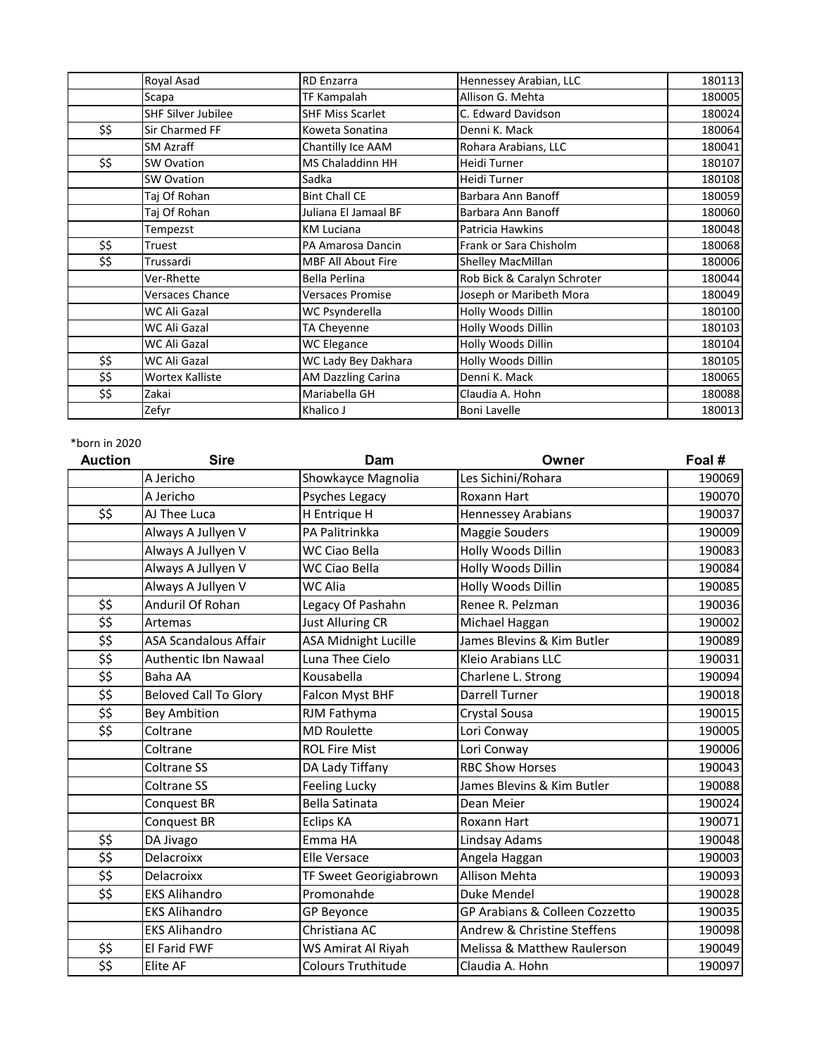|      | Royal Asad                | <b>RD</b> Enzarra         | Hennessey Arabian, LLC      | 180113 |
|------|---------------------------|---------------------------|-----------------------------|--------|
|      | Scapa                     | TF Kampalah               | Allison G. Mehta            | 180005 |
|      | <b>SHF Silver Jubilee</b> | <b>SHF Miss Scarlet</b>   | C. Edward Davidson          | 180024 |
| \$\$ | Sir Charmed FF            | Koweta Sonatina           | Denni K. Mack               | 180064 |
|      | <b>SM Azraff</b>          | Chantilly Ice AAM         | Rohara Arabians, LLC        | 180041 |
| \$\$ | <b>SW Ovation</b>         | <b>MS Chaladdinn HH</b>   | Heidi Turner                | 180107 |
|      | <b>SW Ovation</b>         | Sadka                     | Heidi Turner                | 180108 |
|      | Taj Of Rohan              | <b>Bint Chall CE</b>      | Barbara Ann Banoff          | 180059 |
|      | Tai Of Rohan              | Juliana El Jamaal BF      | Barbara Ann Banoff          | 180060 |
|      | Tempezst                  | <b>KM Luciana</b>         | Patricia Hawkins            | 180048 |
| \$\$ | Truest                    | PA Amarosa Dancin         | Frank or Sara Chisholm      | 180068 |
| \$\$ | Trussardi                 | <b>MBF All About Fire</b> | Shelley MacMillan           | 180006 |
|      | Ver-Rhette                | Bella Perlina             | Rob Bick & Caralyn Schroter | 180044 |
|      | <b>Versaces Chance</b>    | <b>Versaces Promise</b>   | Joseph or Maribeth Mora     | 180049 |
|      | WC Ali Gazal              | WC Psynderella            | Holly Woods Dillin          | 180100 |
|      | WC Ali Gazal              | TA Cheyenne               | Holly Woods Dillin          | 180103 |
|      | WC Ali Gazal              | WC Elegance               | Holly Woods Dillin          | 180104 |
| \$\$ | WC Ali Gazal              | WC Lady Bey Dakhara       | Holly Woods Dillin          | 180105 |
| \$\$ | <b>Wortex Kalliste</b>    | AM Dazzling Carina        | Denni K. Mack               | 180065 |
| \$\$ | Zakai                     | Mariabella GH             | Claudia A. Hohn             | 180088 |
|      | Zefyr                     | Khalico J                 | <b>Boni Lavelle</b>         | 180013 |

| <b>Auction</b>                                              | <b>Sire</b>                  | Dam                         | Owner                          | Foal # |
|-------------------------------------------------------------|------------------------------|-----------------------------|--------------------------------|--------|
|                                                             | A Jericho                    | Showkayce Magnolia          | Les Sichini/Rohara             | 190069 |
|                                                             | A Jericho                    | Psyches Legacy              | Roxann Hart                    | 190070 |
| \$\$                                                        | AJ Thee Luca                 | H Entrique H                | <b>Hennessey Arabians</b>      | 190037 |
|                                                             | Always A Jullyen V           | PA Palitrinkka              | Maggie Souders                 | 190009 |
|                                                             | Always A Jullyen V           | WC Ciao Bella               | Holly Woods Dillin             | 190083 |
|                                                             | Always A Jullyen V           | <b>WC Ciao Bella</b>        | Holly Woods Dillin             | 190084 |
|                                                             | Always A Jullyen V           | WC Alia                     | Holly Woods Dillin             | 190085 |
| \$\$                                                        | Anduril Of Rohan             | Legacy Of Pashahn           | Renee R. Pelzman               | 190036 |
| \$\$                                                        | Artemas                      | <b>Just Alluring CR</b>     | Michael Haggan                 | 190002 |
| \$\$                                                        | <b>ASA Scandalous Affair</b> | <b>ASA Midnight Lucille</b> | James Blevins & Kim Butler     | 190089 |
| $\overline{\mathfrak{s}}$                                   | Authentic Ibn Nawaal         | Luna Thee Cielo             | Kleio Arabians LLC             | 190031 |
| \$\$                                                        | <b>Baha AA</b>               | Kousabella                  | Charlene L. Strong             | 190094 |
| \$\$                                                        | <b>Beloved Call To Glory</b> | Falcon Myst BHF             | <b>Darrell Turner</b>          | 190018 |
| \$\$                                                        | <b>Bey Ambition</b>          | RJM Fathyma                 | Crystal Sousa                  | 190015 |
| $\overline{\mathfrak{s}}$                                   | Coltrane                     | <b>MD Roulette</b>          | Lori Conway                    | 190005 |
|                                                             | Coltrane                     | <b>ROL Fire Mist</b>        | Lori Conway                    | 190006 |
|                                                             | <b>Coltrane SS</b>           | DA Lady Tiffany             | <b>RBC Show Horses</b>         | 190043 |
|                                                             | Coltrane SS                  | <b>Feeling Lucky</b>        | James Blevins & Kim Butler     | 190088 |
|                                                             | Conquest BR                  | <b>Bella Satinata</b>       | Dean Meier                     | 190024 |
|                                                             | Conquest BR                  | <b>Eclips KA</b>            | Roxann Hart                    | 190071 |
| \$\$                                                        | DA Jivago                    | Emma HA                     | Lindsay Adams                  | 190048 |
| \$\$                                                        | Delacroixx                   | <b>Elle Versace</b>         | Angela Haggan                  | 190003 |
| \$\$                                                        | Delacroixx                   | TF Sweet Georigiabrown      | <b>Allison Mehta</b>           | 190093 |
| \$\$                                                        | <b>EKS Alihandro</b>         | Promonahde                  | Duke Mendel                    | 190028 |
|                                                             | <b>EKS Alihandro</b>         | <b>GP Beyonce</b>           | GP Arabians & Colleen Cozzetto | 190035 |
|                                                             | <b>EKS Alihandro</b>         | Christiana AC               | Andrew & Christine Steffens    | 190098 |
| \$\$                                                        | <b>El Farid FWF</b>          | WS Amirat Al Riyah          | Melissa & Matthew Raulerson    | 190049 |
| $\overline{\boldsymbol{\mathsf{S}}\boldsymbol{\mathsf{S}}}$ | <b>Elite AF</b>              | <b>Colours Truthitude</b>   | Claudia A. Hohn                | 190097 |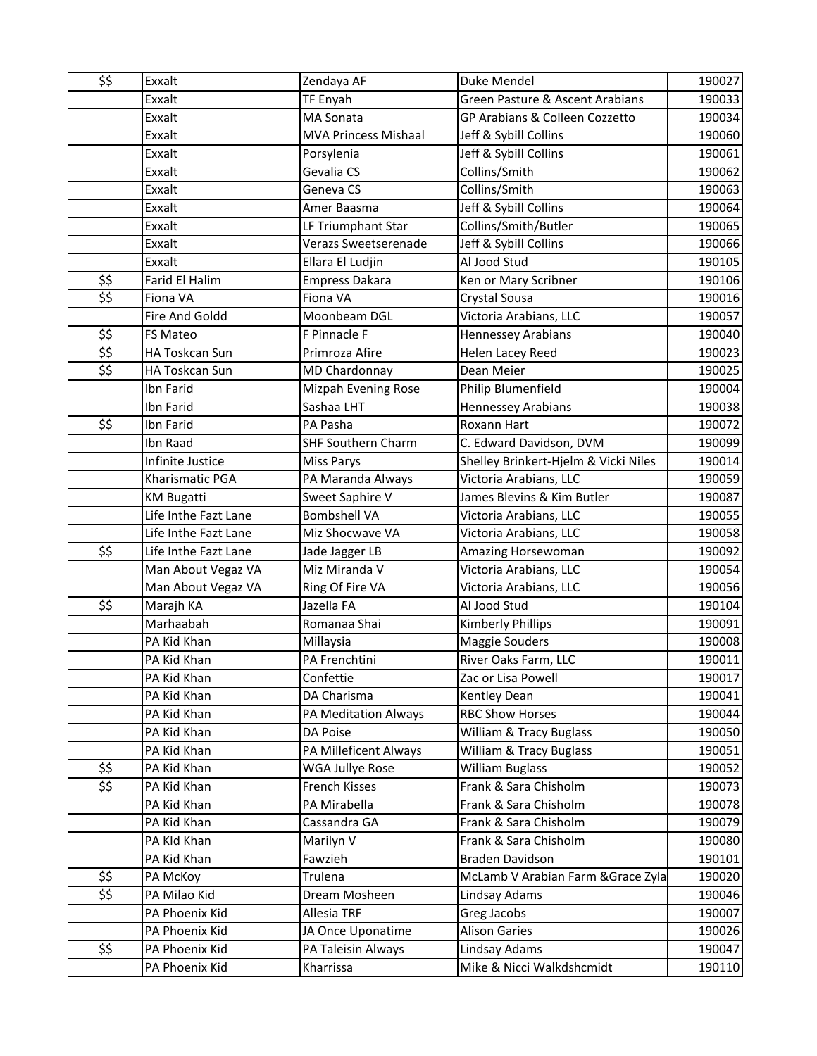| \$\$                      | Exxalt               | Zendaya AF                  | Duke Mendel                          | 190027 |
|---------------------------|----------------------|-----------------------------|--------------------------------------|--------|
|                           | Exxalt               | <b>TF Enyah</b>             | Green Pasture & Ascent Arabians      | 190033 |
|                           | Exxalt               | MA Sonata                   | GP Arabians & Colleen Cozzetto       | 190034 |
|                           | Exxalt               | <b>MVA Princess Mishaal</b> | Jeff & Sybill Collins                | 190060 |
|                           | Exxalt               | Porsylenia                  | Jeff & Sybill Collins                | 190061 |
|                           | Exxalt               | Gevalia CS                  | Collins/Smith                        | 190062 |
|                           | Exxalt               | Geneva CS                   | Collins/Smith                        | 190063 |
|                           | Exxalt               | Amer Baasma                 | Jeff & Sybill Collins                | 190064 |
|                           | Exxalt               | LF Triumphant Star          | Collins/Smith/Butler                 | 190065 |
|                           | Exxalt               | Verazs Sweetserenade        | Jeff & Sybill Collins                | 190066 |
|                           | Exxalt               | Ellara El Ludjin            | Al Jood Stud                         | 190105 |
| \$\$                      | Farid El Halim       | <b>Empress Dakara</b>       | Ken or Mary Scribner                 | 190106 |
| \$\$                      | Fiona VA             | Fiona VA                    | Crystal Sousa                        | 190016 |
|                           | Fire And Goldd       | Moonbeam DGL                | Victoria Arabians, LLC               | 190057 |
| \$\$                      | FS Mateo             | F Pinnacle F                | <b>Hennessey Arabians</b>            | 190040 |
| $\overline{\mathfrak{s}}$ | HA Toskcan Sun       | Primroza Afire              | <b>Helen Lacey Reed</b>              | 190023 |
| \$\$                      | HA Toskcan Sun       | MD Chardonnay               | Dean Meier                           | 190025 |
|                           | Ibn Farid            | Mizpah Evening Rose         | Philip Blumenfield                   | 190004 |
|                           | Ibn Farid            | Sashaa LHT                  | <b>Hennessey Arabians</b>            | 190038 |
| \$\$                      | Ibn Farid            | PA Pasha                    | Roxann Hart                          | 190072 |
|                           | Ibn Raad             | <b>SHF Southern Charm</b>   | C. Edward Davidson, DVM              | 190099 |
|                           | Infinite Justice     | Miss Parys                  | Shelley Brinkert-Hjelm & Vicki Niles | 190014 |
|                           | Kharismatic PGA      | PA Maranda Always           | Victoria Arabians, LLC               | 190059 |
|                           | <b>KM Bugatti</b>    | Sweet Saphire V             | James Blevins & Kim Butler           | 190087 |
|                           | Life Inthe Fazt Lane | <b>Bombshell VA</b>         | Victoria Arabians, LLC               | 190055 |
|                           | Life Inthe Fazt Lane | Miz Shocwave VA             | Victoria Arabians, LLC               | 190058 |
| \$\$                      | Life Inthe Fazt Lane | Jade Jagger LB              | Amazing Horsewoman                   | 190092 |
|                           | Man About Vegaz VA   | Miz Miranda V               | Victoria Arabians, LLC               | 190054 |
|                           | Man About Vegaz VA   | Ring Of Fire VA             | Victoria Arabians, LLC               | 190056 |
| \$\$                      | Marajh KA            | Jazella FA                  | Al Jood Stud                         | 190104 |
|                           | Marhaabah            | Romanaa Shai                | <b>Kimberly Phillips</b>             | 190091 |
|                           | PA Kid Khan          | Millaysia                   | Maggie Souders                       | 190008 |
|                           | PA Kid Khan          | PA Frenchtini               | River Oaks Farm, LLC                 | 190011 |
|                           | PA Kid Khan          | Confettie                   | Zac or Lisa Powell                   | 190017 |
|                           | PA Kid Khan          | DA Charisma                 | Kentley Dean                         | 190041 |
|                           | PA Kid Khan          | PA Meditation Always        | <b>RBC Show Horses</b>               | 190044 |
|                           | PA Kid Khan          | DA Poise                    | William & Tracy Buglass              | 190050 |
|                           | PA Kid Khan          | PA Milleficent Always       | William & Tracy Buglass              | 190051 |
| \$\$                      | PA Kid Khan          | WGA Jullye Rose             | <b>William Buglass</b>               | 190052 |
| \$\$                      | PA Kid Khan          | French Kisses               | Frank & Sara Chisholm                | 190073 |
|                           | PA Kid Khan          | PA Mirabella                | Frank & Sara Chisholm                | 190078 |
|                           | PA Kid Khan          | Cassandra GA                | Frank & Sara Chisholm                | 190079 |
|                           | PA KId Khan          | Marilyn V                   | Frank & Sara Chisholm                | 190080 |
|                           | PA Kid Khan          | Fawzieh                     | <b>Braden Davidson</b>               | 190101 |
| \$\$                      | PA McKoy             | Trulena                     | McLamb V Arabian Farm & Grace Zyla   | 190020 |
| \$\$                      | PA Milao Kid         | Dream Mosheen               | Lindsay Adams                        | 190046 |
|                           | PA Phoenix Kid       | Allesia TRF                 | Greg Jacobs                          | 190007 |
|                           | PA Phoenix Kid       | JA Once Uponatime           | <b>Alison Garies</b>                 | 190026 |
| \$\$                      | PA Phoenix Kid       | PA Taleisin Always          | Lindsay Adams                        | 190047 |
|                           | PA Phoenix Kid       | Kharrissa                   | Mike & Nicci Walkdshcmidt            | 190110 |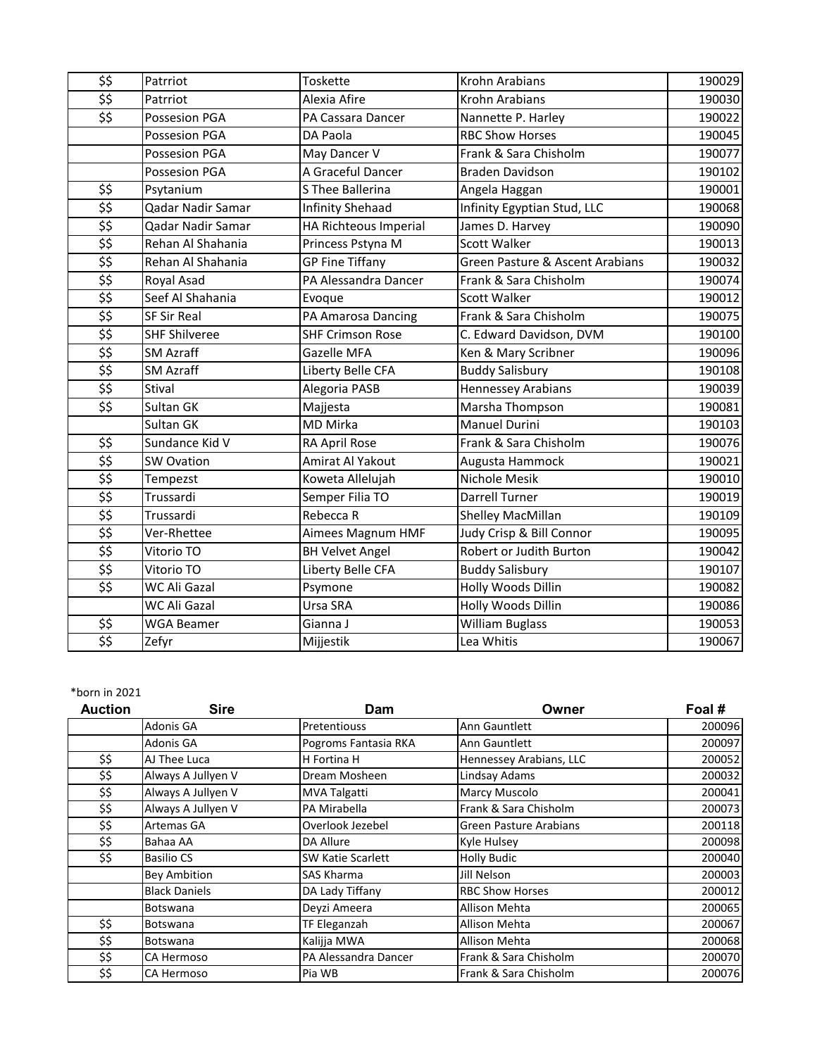| \$\$                      | Patrriot             | Toskette                | <b>Krohn Arabians</b>           | 190029 |
|---------------------------|----------------------|-------------------------|---------------------------------|--------|
| \$\$                      | Patrriot             | Alexia Afire            | <b>Krohn Arabians</b>           | 190030 |
| \$\$                      | Possesion PGA        | PA Cassara Dancer       | Nannette P. Harley              | 190022 |
|                           | Possesion PGA        | DA Paola                | <b>RBC Show Horses</b>          | 190045 |
|                           | Possesion PGA        | May Dancer V            | Frank & Sara Chisholm           | 190077 |
|                           | Possesion PGA        | A Graceful Dancer       | <b>Braden Davidson</b>          | 190102 |
| \$\$                      | Psytanium            | S Thee Ballerina        | Angela Haggan                   | 190001 |
| \$\$                      | Qadar Nadir Samar    | <b>Infinity Shehaad</b> | Infinity Egyptian Stud, LLC     | 190068 |
| \$\$                      | Qadar Nadir Samar    | HA Richteous Imperial   | James D. Harvey                 | 190090 |
| \$\$                      | Rehan Al Shahania    | Princess Pstyna M       | Scott Walker                    | 190013 |
| \$\$                      | Rehan Al Shahania    | <b>GP Fine Tiffany</b>  | Green Pasture & Ascent Arabians | 190032 |
| \$5                       | Royal Asad           | PA Alessandra Dancer    | Frank & Sara Chisholm           | 190074 |
| \$\$                      | Seef Al Shahania     | Evoque                  | Scott Walker                    | 190012 |
| $\overline{\mathfrak{s}}$ | <b>SF Sir Real</b>   | PA Amarosa Dancing      | Frank & Sara Chisholm           | 190075 |
| \$\$                      | <b>SHF Shilveree</b> | <b>SHF Crimson Rose</b> | C. Edward Davidson, DVM         | 190100 |
| \$\$                      | <b>SM Azraff</b>     | Gazelle MFA             | Ken & Mary Scribner             | 190096 |
| \$\$                      | <b>SM Azraff</b>     | Liberty Belle CFA       | <b>Buddy Salisbury</b>          | 190108 |
| \$\$                      | Stival               | Alegoria PASB           | <b>Hennessey Arabians</b>       | 190039 |
| \$\$                      | Sultan GK            | Majjesta                | Marsha Thompson                 | 190081 |
|                           | Sultan GK            | <b>MD Mirka</b>         | Manuel Durini                   | 190103 |
| $\overline{\mathfrak{s}}$ | Sundance Kid V       | RA April Rose           | Frank & Sara Chisholm           | 190076 |
| \$\$                      | <b>SW Ovation</b>    | Amirat Al Yakout        | Augusta Hammock                 | 190021 |
| $\overline{\mathfrak{s}}$ | Tempezst             | Koweta Allelujah        | Nichole Mesik                   | 190010 |
| \$\$                      | Trussardi            | Semper Filia TO         | <b>Darrell Turner</b>           | 190019 |
| \$\$                      | Trussardi            | Rebecca R               | Shelley MacMillan               | 190109 |
| \$5                       | Ver-Rhettee          | Aimees Magnum HMF       | Judy Crisp & Bill Connor        | 190095 |
| \$\$                      | Vitorio TO           | <b>BH Velvet Angel</b>  | Robert or Judith Burton         | 190042 |
| \$\$                      | Vitorio TO           | Liberty Belle CFA       | <b>Buddy Salisbury</b>          | 190107 |
| \$\$                      | WC Ali Gazal         | Psymone                 | Holly Woods Dillin              | 190082 |
|                           | WC Ali Gazal         | Ursa SRA                | Holly Woods Dillin              | 190086 |
| \$\$                      | <b>WGA Beamer</b>    | Gianna J                | <b>William Buglass</b>          | 190053 |
| \$\$                      | Zefyr                | Mijjestik               | Lea Whitis                      | 190067 |

| <b>Auction</b> | <b>Sire</b>          | Dam                  | Owner                   | Foal # |
|----------------|----------------------|----------------------|-------------------------|--------|
|                | Adonis GA            | Pretentiouss         | Ann Gauntlett           | 200096 |
|                | Adonis GA            | Pogroms Fantasia RKA | Ann Gauntlett           | 200097 |
| \$\$           | AJ Thee Luca         | H Fortina H          | Hennessey Arabians, LLC | 200052 |
| \$\$           | Always A Jullyen V   | Dream Mosheen        | Lindsay Adams           | 200032 |
| \$\$           | Always A Jullyen V   | MVA Talgatti         | Marcy Muscolo           | 200041 |
| \$\$           | Always A Jullyen V   | PA Mirabella         | Frank & Sara Chisholm   | 200073 |
| \$\$           | Artemas GA           | Overlook Jezebel     | Green Pasture Arabians  | 200118 |
| \$\$           | Bahaa AA             | DA Allure            | Kyle Hulsey             | 200098 |
| \$\$           | <b>Basilio CS</b>    | SW Katie Scarlett    | <b>Holly Budic</b>      | 200040 |
|                | <b>Bey Ambition</b>  | SAS Kharma           | Jill Nelson             | 200003 |
|                | <b>Black Daniels</b> | DA Lady Tiffany      | <b>RBC Show Horses</b>  | 200012 |
|                | Botswana             | Deyzi Ameera         | Allison Mehta           | 200065 |
| \$\$           | Botswana             | TF Eleganzah         | Allison Mehta           | 200067 |
| \$\$           | Botswana             | Kalijja MWA          | Allison Mehta           | 200068 |
| \$\$           | CA Hermoso           | PA Alessandra Dancer | Frank & Sara Chisholm   | 200070 |
| \$\$           | CA Hermoso           | Pia WB               | Frank & Sara Chisholm   | 200076 |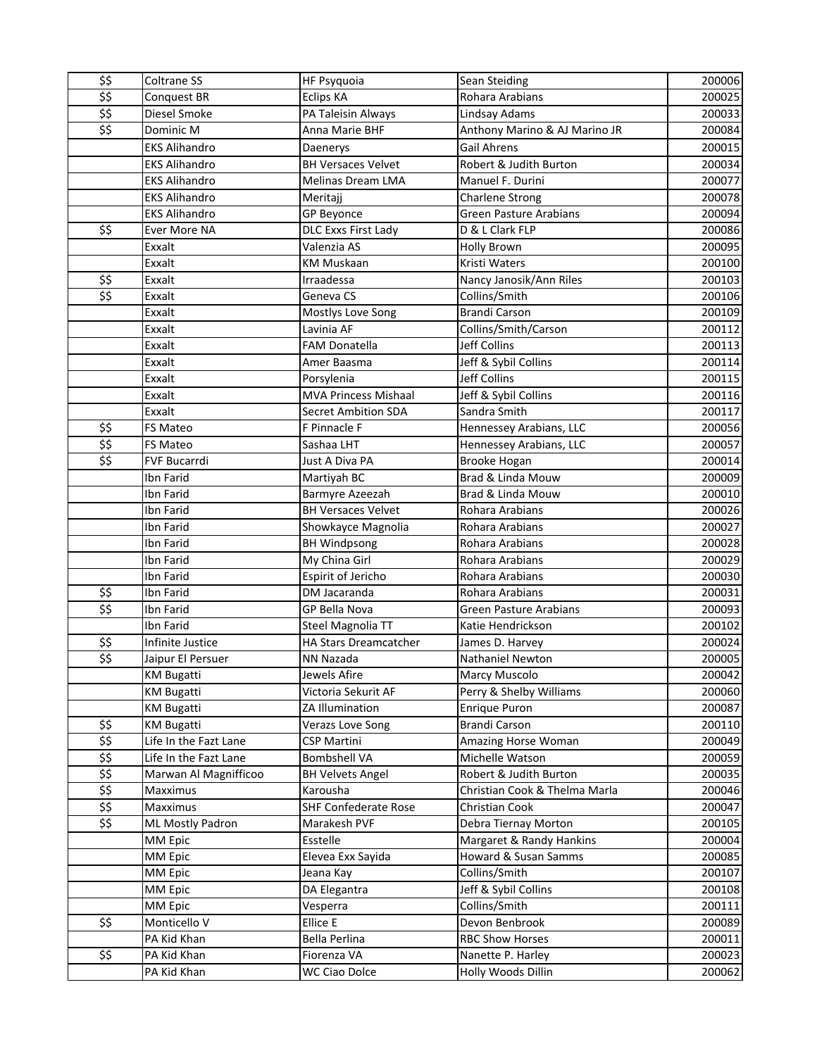| \$\$                      | Coltrane SS           | <b>HF Psyquoia</b>           | Sean Steiding                 | 200006 |
|---------------------------|-----------------------|------------------------------|-------------------------------|--------|
| \$\$                      | Conquest BR           | Eclips KA                    | Rohara Arabians               | 200025 |
| \$5                       | Diesel Smoke          | PA Taleisin Always           | Lindsay Adams                 | 200033 |
| \$5                       | Dominic M             | Anna Marie BHF               | Anthony Marino & AJ Marino JR | 200084 |
|                           | <b>EKS Alihandro</b>  | Daenerys                     | <b>Gail Ahrens</b>            | 200015 |
|                           | <b>EKS Alihandro</b>  | <b>BH Versaces Velvet</b>    | Robert & Judith Burton        | 200034 |
|                           | <b>EKS Alihandro</b>  | Melinas Dream LMA            | Manuel F. Durini              | 200077 |
|                           | <b>EKS Alihandro</b>  | Meritajj                     | Charlene Strong               | 200078 |
|                           | <b>EKS Alihandro</b>  | GP Beyonce                   | <b>Green Pasture Arabians</b> | 200094 |
| \$\$                      | Ever More NA          | DLC Exxs First Lady          | D & L Clark FLP               | 200086 |
|                           | Exxalt                | Valenzia AS                  | <b>Holly Brown</b>            | 200095 |
|                           | Exxalt                | <b>KM Muskaan</b>            | Kristi Waters                 | 200100 |
| \$\$                      | Exxalt                | Irraadessa                   | Nancy Janosik/Ann Riles       | 200103 |
| \$5                       | Exxalt                | Geneva CS                    | Collins/Smith                 | 200106 |
|                           | Exxalt                | Mostlys Love Song            | <b>Brandi Carson</b>          | 200109 |
|                           | Exxalt                | Lavinia AF                   | Collins/Smith/Carson          | 200112 |
|                           | Exxalt                | <b>FAM Donatella</b>         | Jeff Collins                  | 200113 |
|                           | Exxalt                | Amer Baasma                  | Jeff & Sybil Collins          | 200114 |
|                           | Exxalt                | Porsylenia                   | <b>Jeff Collins</b>           | 200115 |
|                           | Exxalt                | <b>MVA Princess Mishaal</b>  | Jeff & Sybil Collins          | 200116 |
|                           | Exxalt                | <b>Secret Ambition SDA</b>   | Sandra Smith                  | 200117 |
| \$\$                      | FS Mateo              | F Pinnacle F                 | Hennessey Arabians, LLC       | 200056 |
| \$\$                      | FS Mateo              | Sashaa LHT                   | Hennessey Arabians, LLC       | 200057 |
| \$\$                      | FVF Bucarrdi          | Just A Diva PA               | <b>Brooke Hogan</b>           | 200014 |
|                           | Ibn Farid             | Martiyah BC                  | Brad & Linda Mouw             | 200009 |
|                           | Ibn Farid             | Barmyre Azeezah              | Brad & Linda Mouw             | 200010 |
|                           | Ibn Farid             | <b>BH Versaces Velvet</b>    | Rohara Arabians               | 200026 |
|                           | Ibn Farid             | Showkayce Magnolia           | Rohara Arabians               | 200027 |
|                           | Ibn Farid             | <b>BH Windpsong</b>          | Rohara Arabians               | 200028 |
|                           | Ibn Farid             | My China Girl                | Rohara Arabians               | 200029 |
|                           | Ibn Farid             | Espirit of Jericho           | Rohara Arabians               | 200030 |
| \$\$                      | Ibn Farid             | DM Jacaranda                 | Rohara Arabians               | 200031 |
| \$\$                      | Ibn Farid             | GP Bella Nova                | <b>Green Pasture Arabians</b> | 200093 |
|                           | Ibn Farid             | Steel Magnolia TT            | Katie Hendrickson             | 200102 |
| \$\$                      | Infinite Justice      | <b>HA Stars Dreamcatcher</b> | James D. Harvey               | 200024 |
| \$5                       | Jaipur El Persuer     | NN Nazada                    | Nathaniel Newton              | 200005 |
|                           | <b>KM Bugatti</b>     | Jewels Afire                 | <b>Marcy Muscolo</b>          | 200042 |
|                           | <b>KM Bugatti</b>     | Victoria Sekurit AF          | Perry & Shelby Williams       | 200060 |
|                           | <b>KM Bugatti</b>     | ZA Illumination              | <b>Enrique Puron</b>          | 200087 |
| \$\$                      | <b>KM Bugatti</b>     | Verazs Love Song             | <b>Brandi Carson</b>          | 200110 |
| $\overline{\mathfrak{s}}$ | Life In the Fazt Lane | <b>CSP Martini</b>           | Amazing Horse Woman           | 200049 |
| \$\$                      | Life In the Fazt Lane | <b>Bombshell VA</b>          | Michelle Watson               | 200059 |
| $\overline{\mathfrak{s}}$ | Marwan Al Magnifficoo | <b>BH Velvets Angel</b>      | Robert & Judith Burton        | 200035 |
| \$\$                      | Maxximus              | Karousha                     | Christian Cook & Thelma Marla | 200046 |
| \$\$                      | Maxximus              | <b>SHF Confederate Rose</b>  | Christian Cook                | 200047 |
| \$5                       | ML Mostly Padron      | Marakesh PVF                 | Debra Tiernay Morton          | 200105 |
|                           | MM Epic               | Esstelle                     | Margaret & Randy Hankins      | 200004 |
|                           | MM Epic               | Elevea Exx Sayida            | Howard & Susan Samms          | 200085 |
|                           | MM Epic               | Jeana Kay                    | Collins/Smith                 | 200107 |
|                           | MM Epic               | DA Elegantra                 | Jeff & Sybil Collins          | 200108 |
|                           | MM Epic               | Vesperra                     | Collins/Smith                 | 200111 |
| \$\$                      | Monticello V          | Ellice E                     | Devon Benbrook                | 200089 |
|                           | PA Kid Khan           | Bella Perlina                | <b>RBC Show Horses</b>        | 200011 |
| \$\$                      | PA Kid Khan           | Fiorenza VA                  | Nanette P. Harley             | 200023 |
|                           | PA Kid Khan           | <b>WC Ciao Dolce</b>         | Holly Woods Dillin            | 200062 |